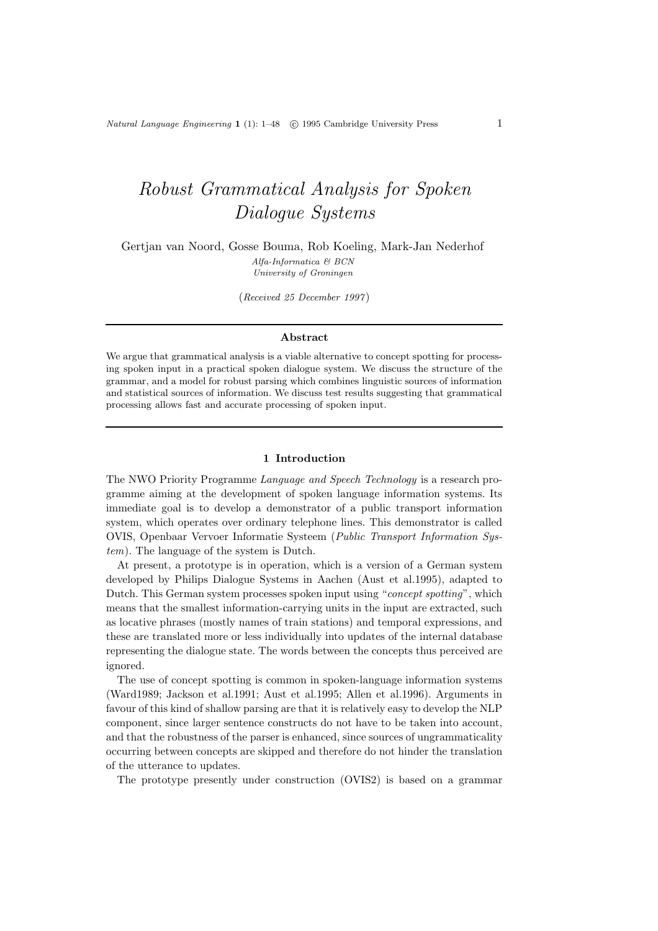# Robust Grammatical Analysis for Spoken Dialogue Systems

Gertjan van Noord, Gosse Bouma, Rob Koeling, Mark-Jan Nederhof Alfa-Informatica & BCN University of Groningen

(Received 25 December 1997 )

#### Abstract

We argue that grammatical analysis is a viable alternative to concept spotting for processing spoken input in a practical spoken dialogue system. We discuss the structure of the grammar, and a model for robust parsing which combines linguistic sources of information and statistical sources of information. We discuss test results suggesting that grammatical processing allows fast and accurate processing of spoken input.

#### 1 Introduction

The NWO Priority Programme Language and Speech Technology is a research programme aiming at the development of spoken language information systems. Its immediate goal is to develop a demonstrator of a public transport information system, which operates over ordinary telephone lines. This demonstrator is called OVIS, Openbaar Vervoer Informatie Systeem (Public Transport Information System). The language of the system is Dutch.

At present, a prototype is in operation, which is a version of a German system developed by Philips Dialogue Systems in Aachen (Aust et al.1995), adapted to Dutch. This German system processes spoken input using "concept spotting", which means that the smallest information-carrying units in the input are extracted, such as locative phrases (mostly names of train stations) and temporal expressions, and these are translated more or less individually into updates of the internal database representing the dialogue state. The words between the concepts thus perceived are ignored.

The use of concept spotting is common in spoken-language information systems (Ward1989; Jackson et al.1991; Aust et al.1995; Allen et al.1996). Arguments in favour of this kind of shallow parsing are that it is relatively easy to develop the NLP component, since larger sentence constructs do not have to be taken into account, and that the robustness of the parser is enhanced, since sources of ungrammaticality occurring between concepts are skipped and therefore do not hinder the translation of the utterance to updates.

The prototype presently under construction (OVIS2) is based on a grammar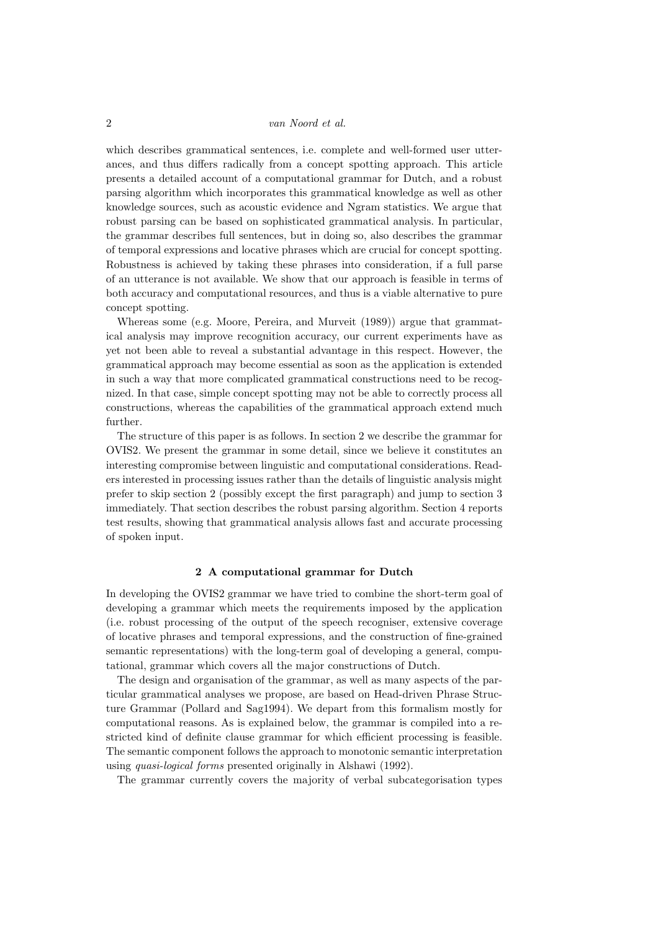which describes grammatical sentences, i.e. complete and well-formed user utterances, and thus differs radically from a concept spotting approach. This article presents a detailed account of a computational grammar for Dutch, and a robust parsing algorithm which incorporates this grammatical knowledge as well as other knowledge sources, such as acoustic evidence and Ngram statistics. We argue that robust parsing can be based on sophisticated grammatical analysis. In particular, the grammar describes full sentences, but in doing so, also describes the grammar of temporal expressions and locative phrases which are crucial for concept spotting. Robustness is achieved by taking these phrases into consideration, if a full parse of an utterance is not available. We show that our approach is feasible in terms of both accuracy and computational resources, and thus is a viable alternative to pure concept spotting.

Whereas some (e.g. Moore, Pereira, and Murveit (1989)) argue that grammatical analysis may improve recognition accuracy, our current experiments have as yet not been able to reveal a substantial advantage in this respect. However, the grammatical approach may become essential as soon as the application is extended in such a way that more complicated grammatical constructions need to be recognized. In that case, simple concept spotting may not be able to correctly process all constructions, whereas the capabilities of the grammatical approach extend much further.

The structure of this paper is as follows. In section 2 we describe the grammar for OVIS2. We present the grammar in some detail, since we believe it constitutes an interesting compromise between linguistic and computational considerations. Readers interested in processing issues rather than the details of linguistic analysis might prefer to skip section 2 (possibly except the first paragraph) and jump to section 3 immediately. That section describes the robust parsing algorithm. Section 4 reports test results, showing that grammatical analysis allows fast and accurate processing of spoken input.

## 2 A computational grammar for Dutch

In developing the OVIS2 grammar we have tried to combine the short-term goal of developing a grammar which meets the requirements imposed by the application (i.e. robust processing of the output of the speech recogniser, extensive coverage of locative phrases and temporal expressions, and the construction of fine-grained semantic representations) with the long-term goal of developing a general, computational, grammar which covers all the major constructions of Dutch.

The design and organisation of the grammar, as well as many aspects of the particular grammatical analyses we propose, are based on Head-driven Phrase Structure Grammar (Pollard and Sag1994). We depart from this formalism mostly for computational reasons. As is explained below, the grammar is compiled into a restricted kind of definite clause grammar for which efficient processing is feasible. The semantic component follows the approach to monotonic semantic interpretation using quasi-logical forms presented originally in Alshawi (1992).

The grammar currently covers the majority of verbal subcategorisation types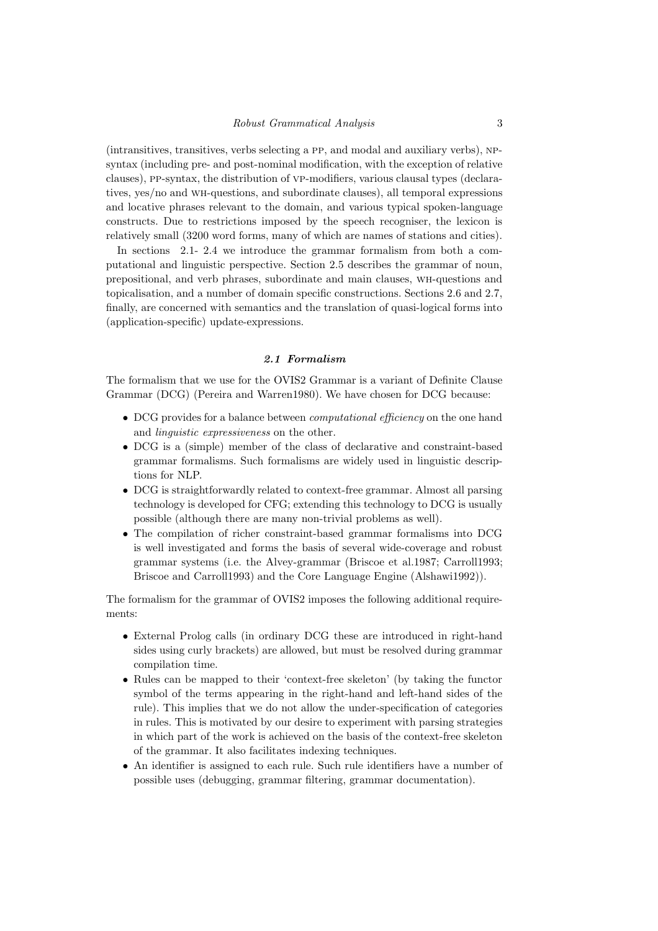(intransitives, transitives, verbs selecting a pp, and modal and auxiliary verbs), npsyntax (including pre- and post-nominal modification, with the exception of relative clauses), pp-syntax, the distribution of vp-modifiers, various clausal types (declaratives, yes/no and wh-questions, and subordinate clauses), all temporal expressions and locative phrases relevant to the domain, and various typical spoken-language constructs. Due to restrictions imposed by the speech recogniser, the lexicon is relatively small (3200 word forms, many of which are names of stations and cities).

In sections 2.1- 2.4 we introduce the grammar formalism from both a computational and linguistic perspective. Section 2.5 describes the grammar of noun, prepositional, and verb phrases, subordinate and main clauses, wh-questions and topicalisation, and a number of domain specific constructions. Sections 2.6 and 2.7, finally, are concerned with semantics and the translation of quasi-logical forms into (application-specific) update-expressions.

#### 2.1 Formalism

The formalism that we use for the OVIS2 Grammar is a variant of Definite Clause Grammar (DCG) (Pereira and Warren1980). We have chosen for DCG because:

- DCG provides for a balance between *computational efficiency* on the one hand and linguistic expressiveness on the other.
- DCG is a (simple) member of the class of declarative and constraint-based grammar formalisms. Such formalisms are widely used in linguistic descriptions for NLP.
- DCG is straightforwardly related to context-free grammar. Almost all parsing technology is developed for CFG; extending this technology to DCG is usually possible (although there are many non-trivial problems as well).
- The compilation of richer constraint-based grammar formalisms into DCG is well investigated and forms the basis of several wide-coverage and robust grammar systems (i.e. the Alvey-grammar (Briscoe et al.1987; Carroll1993; Briscoe and Carroll1993) and the Core Language Engine (Alshawi1992)).

The formalism for the grammar of OVIS2 imposes the following additional requirements:

- External Prolog calls (in ordinary DCG these are introduced in right-hand sides using curly brackets) are allowed, but must be resolved during grammar compilation time.
- Rules can be mapped to their 'context-free skeleton' (by taking the functor symbol of the terms appearing in the right-hand and left-hand sides of the rule). This implies that we do not allow the under-specification of categories in rules. This is motivated by our desire to experiment with parsing strategies in which part of the work is achieved on the basis of the context-free skeleton of the grammar. It also facilitates indexing techniques.
- An identifier is assigned to each rule. Such rule identifiers have a number of possible uses (debugging, grammar filtering, grammar documentation).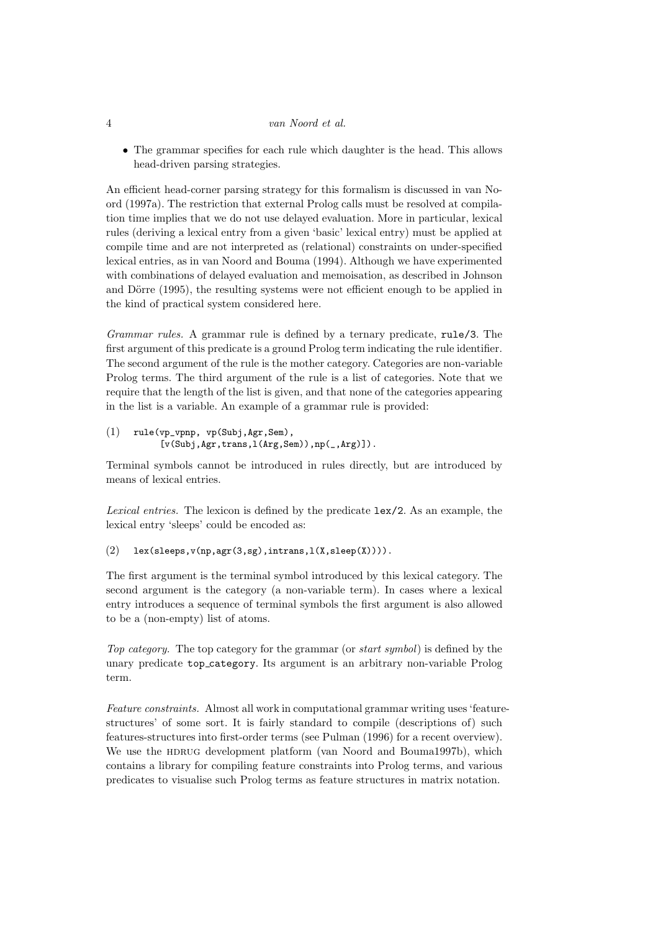• The grammar specifies for each rule which daughter is the head. This allows head-driven parsing strategies.

An efficient head-corner parsing strategy for this formalism is discussed in van Noord (1997a). The restriction that external Prolog calls must be resolved at compilation time implies that we do not use delayed evaluation. More in particular, lexical rules (deriving a lexical entry from a given 'basic' lexical entry) must be applied at compile time and are not interpreted as (relational) constraints on under-specified lexical entries, as in van Noord and Bouma (1994). Although we have experimented with combinations of delayed evaluation and memoisation, as described in Johnson and Dörre (1995), the resulting systems were not efficient enough to be applied in the kind of practical system considered here.

Grammar rules. A grammar rule is defined by a ternary predicate, rule/3. The first argument of this predicate is a ground Prolog term indicating the rule identifier. The second argument of the rule is the mother category. Categories are non-variable Prolog terms. The third argument of the rule is a list of categories. Note that we require that the length of the list is given, and that none of the categories appearing in the list is a variable. An example of a grammar rule is provided:

```
rule(vp_vpnp, vp(Subj,Agr,Sem),
          [v(Subj,Agr,trans,l(Arg,Sem)),np(_,Arg)]).
(1)
```
Terminal symbols cannot be introduced in rules directly, but are introduced by means of lexical entries.

Lexical entries. The lexicon is defined by the predicate lex/2. As an example, the lexical entry 'sleeps' could be encoded as:

```
(2) lex(sleeps,v(np,agr(3,sg),intrans,l(X,sleep(X)))).
```
The first argument is the terminal symbol introduced by this lexical category. The second argument is the category (a non-variable term). In cases where a lexical entry introduces a sequence of terminal symbols the first argument is also allowed to be a (non-empty) list of atoms.

Top category. The top category for the grammar (or start symbol) is defined by the unary predicate top category. Its argument is an arbitrary non-variable Prolog term.

Feature constraints. Almost all work in computational grammar writing uses 'featurestructures' of some sort. It is fairly standard to compile (descriptions of) such features-structures into first-order terms (see Pulman (1996) for a recent overview). We use the HDRUG development platform (van Noord and Bouma1997b), which contains a library for compiling feature constraints into Prolog terms, and various predicates to visualise such Prolog terms as feature structures in matrix notation.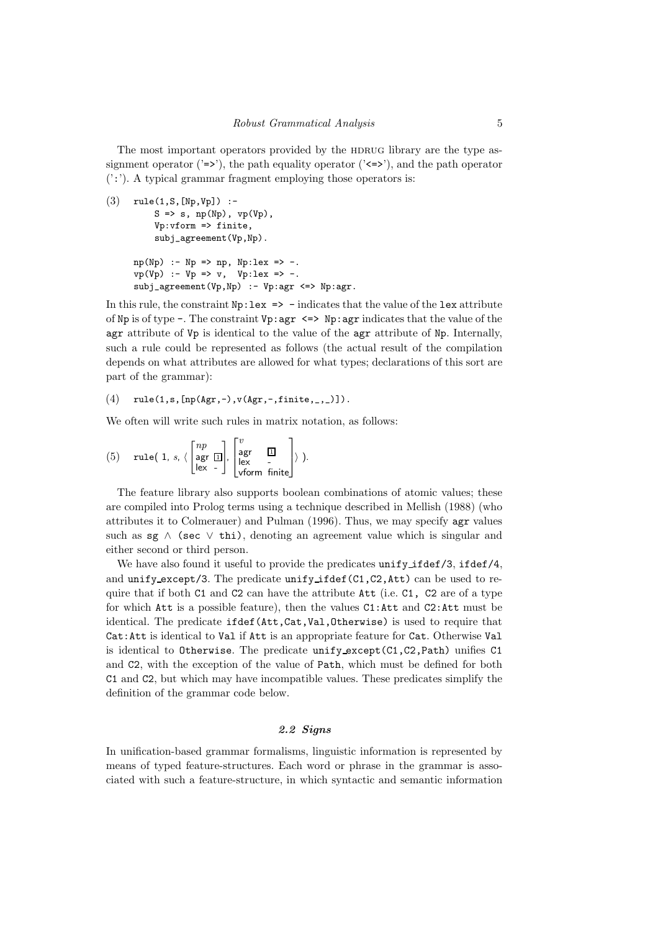The most important operators provided by the HDRUG library are the type assignment operator  $(\varepsilon > \varepsilon)$ , the path equality operator  $(\varepsilon > \varepsilon)$ , and the path operator (':'). A typical grammar fragment employing those operators is:

```
(3) rule(1, S, [Np, Vp]):-
           S \implies s, np(Np), vp(Vp),
           Vp:vform \Rightarrow finite,subj_agreement(Vp,Np).
      np(Np) :- Np \Rightarrow np, Np: lex \Rightarrow -.
      vp(Vp) :- Vp \Rightarrow v, Vp:lex \Rightarrow -.
      subj\_agreement(Vp, Np) :- Vp:agr \iff Np:agr.
```
In this rule, the constraint  $Np:lex \Rightarrow -\text{indicates that the value of the lex attribute}$ of Np is of type -. The constraint  $Vp:agr \leq > Np:agr$  indicates that the value of the agr attribute of Vp is identical to the value of the agr attribute of Np. Internally, such a rule could be represented as follows (the actual result of the compilation depends on what attributes are allowed for what types; declarations of this sort are part of the grammar):

$$
(4) \trule(1,s,[np(Agr,-),v(Agr,-,finite,...))].
$$

We often will write such rules in matrix notation, as follows:

(5) rule(1, s, 
$$
\langle \begin{bmatrix} np \\ \text{agr } \Box \end{bmatrix}, \begin{bmatrix} v \\ \text{agr } \Box \end{bmatrix} \rangle
$$
).

The feature library also supports boolean combinations of atomic values; these are compiled into Prolog terms using a technique described in Mellish (1988) (who attributes it to Colmerauer) and Pulman (1996). Thus, we may specify agr values such as sg  $\land$  (sec  $\lor$  thi), denoting an agreement value which is singular and either second or third person.

We have also found it useful to provide the predicates  $\text{unify\_ifdef}/3$ , if  $\text{def}/4$ , and unify\_except/3. The predicate unify\_ifdef( $C1$ , $C2$ , $Att$ ) can be used to require that if both C1 and C2 can have the attribute Att (i.e. C1, C2 are of a type for which Att is a possible feature), then the values C1:Att and C2:Att must be identical. The predicate ifdef(Att,Cat,Val,Otherwise) is used to require that Cat:Att is identical to Val if Att is an appropriate feature for Cat. Otherwise Val is identical to Otherwise. The predicate unify except(C1,C2,Path) unifies C1 and C2, with the exception of the value of Path, which must be defined for both C1 and C2, but which may have incompatible values. These predicates simplify the definition of the grammar code below.

## 2.2 Signs

In unification-based grammar formalisms, linguistic information is represented by means of typed feature-structures. Each word or phrase in the grammar is associated with such a feature-structure, in which syntactic and semantic information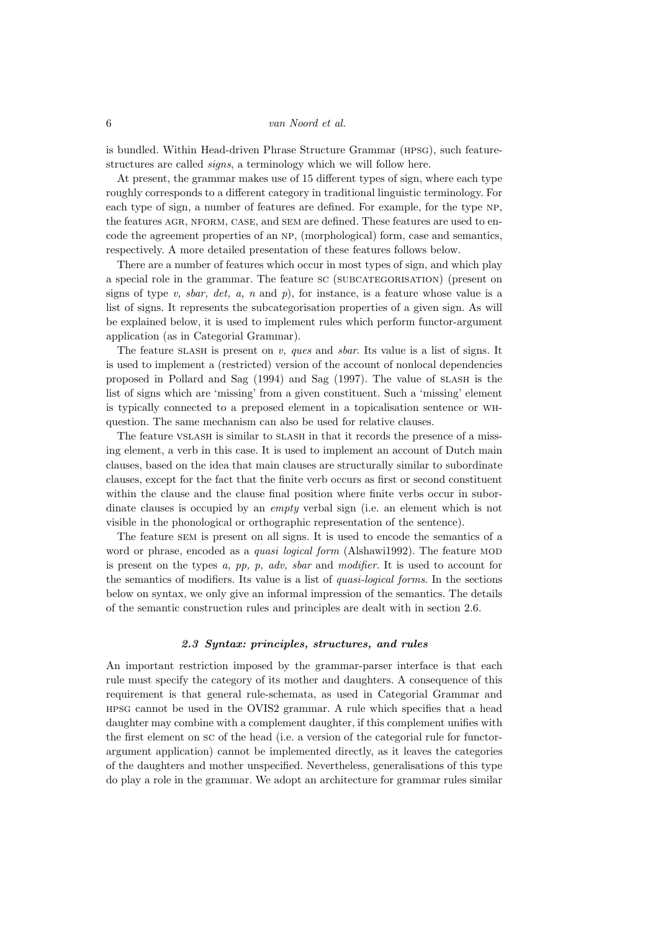is bundled. Within Head-driven Phrase Structure Grammar (hpsg), such featurestructures are called *signs*, a terminology which we will follow here.

At present, the grammar makes use of 15 different types of sign, where each type roughly corresponds to a different category in traditional linguistic terminology. For each type of sign, a number of features are defined. For example, for the type np, the features AGR, NFORM, CASE, and SEM are defined. These features are used to encode the agreement properties of an NP, (morphological) form, case and semantics, respectively. A more detailed presentation of these features follows below.

There are a number of features which occur in most types of sign, and which play a special role in the grammar. The feature sc (subcategorisation) (present on signs of type v, sbar, det, a, n and p), for instance, is a feature whose value is a list of signs. It represents the subcategorisation properties of a given sign. As will be explained below, it is used to implement rules which perform functor-argument application (as in Categorial Grammar).

The feature slash is present on v, ques and sbar. Its value is a list of signs. It is used to implement a (restricted) version of the account of nonlocal dependencies proposed in Pollard and Sag (1994) and Sag (1997). The value of slash is the list of signs which are 'missing' from a given constituent. Such a 'missing' element is typically connected to a preposed element in a topicalisation sentence or whquestion. The same mechanism can also be used for relative clauses.

The feature VSLASH is similar to SLASH in that it records the presence of a missing element, a verb in this case. It is used to implement an account of Dutch main clauses, based on the idea that main clauses are structurally similar to subordinate clauses, except for the fact that the finite verb occurs as first or second constituent within the clause and the clause final position where finite verbs occur in subordinate clauses is occupied by an *empty* verbal sign (i.e. an element which is not visible in the phonological or orthographic representation of the sentence).

The feature sem is present on all signs. It is used to encode the semantics of a word or phrase, encoded as a *quasi logical form* (Alshawi1992). The feature MOD is present on the types a, pp, p, adv, sbar and modifier. It is used to account for the semantics of modifiers. Its value is a list of quasi-logical forms. In the sections below on syntax, we only give an informal impression of the semantics. The details of the semantic construction rules and principles are dealt with in section 2.6.

#### 2.3 Syntax: principles, structures, and rules

An important restriction imposed by the grammar-parser interface is that each rule must specify the category of its mother and daughters. A consequence of this requirement is that general rule-schemata, as used in Categorial Grammar and hpsg cannot be used in the OVIS2 grammar. A rule which specifies that a head daughter may combine with a complement daughter, if this complement unifies with the first element on sc of the head (i.e. a version of the categorial rule for functorargument application) cannot be implemented directly, as it leaves the categories of the daughters and mother unspecified. Nevertheless, generalisations of this type do play a role in the grammar. We adopt an architecture for grammar rules similar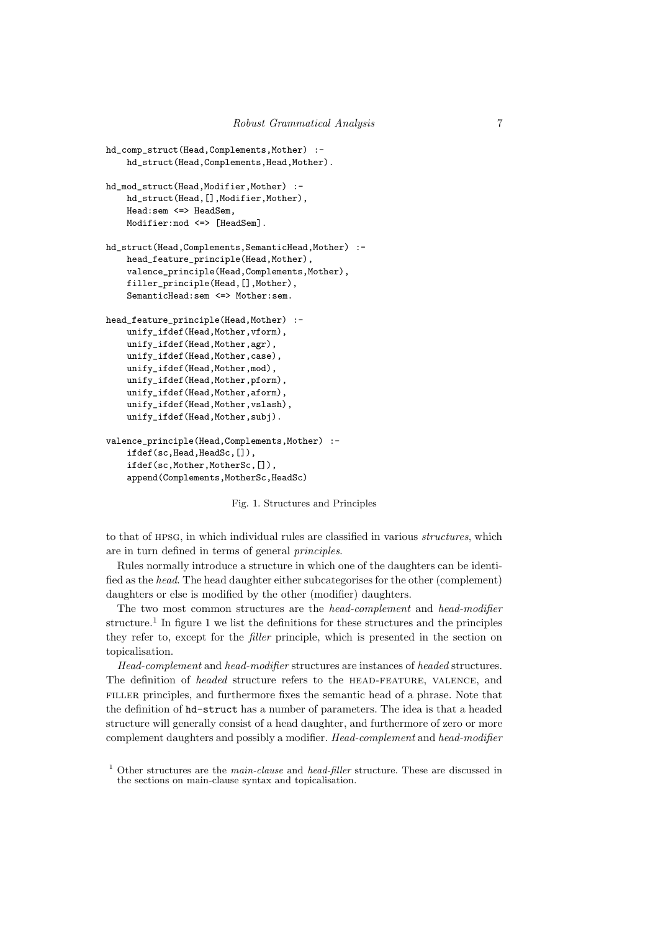```
hd_comp_struct(Head,Complements,Mother) :-
    hd_struct(Head,Complements,Head,Mother).
hd_mod_struct(Head,Modifier,Mother) :-
    hd_struct(Head, [], Modifier, Mother),
    Head:sem <=> HeadSem,
    Modifier:mod <=> [HeadSem].
hd_struct(Head,Complements,SemanticHead,Mother) :-
    head_feature_principle(Head,Mother),
    valence_principle(Head,Complements,Mother),
    filler_principle(Head,[],Mother),
    SemanticHead:sem <=> Mother:sem.
head_feature_principle(Head,Mother) :-
    unify_ifdef(Head,Mother,vform),
    unify_ifdef(Head,Mother,agr),
    unify_ifdef(Head,Mother,case),
    unify_ifdef(Head,Mother,mod),
    unify_ifdef(Head,Mother,pform),
    unify_ifdef(Head,Mother,aform),
    unify_ifdef(Head,Mother,vslash),
    unify_ifdef(Head,Mother,subj).
valence_principle(Head,Complements,Mother) :-
    ifdef(sc,Head,HeadSc,[]),
    ifdef(sc,Mother,MotherSc,[]),
    append(Complements,MotherSc,HeadSc)
```
Fig. 1. Structures and Principles

to that of hpsg, in which individual rules are classified in various structures, which are in turn defined in terms of general principles.

Rules normally introduce a structure in which one of the daughters can be identified as the head. The head daughter either subcategorises for the other (complement) daughters or else is modified by the other (modifier) daughters.

The two most common structures are the head-complement and head-modifier structure.<sup>1</sup> In figure 1 we list the definitions for these structures and the principles they refer to, except for the filler principle, which is presented in the section on topicalisation.

Head-complement and head-modifier structures are instances of headed structures. The definition of *headed* structure refers to the HEAD-FEATURE, VALENCE, and filler principles, and furthermore fixes the semantic head of a phrase. Note that the definition of hd-struct has a number of parameters. The idea is that a headed structure will generally consist of a head daughter, and furthermore of zero or more complement daughters and possibly a modifier. Head-complement and head-modifier

<sup>1</sup> Other structures are the main-clause and head-filler structure. These are discussed in the sections on main-clause syntax and topicalisation.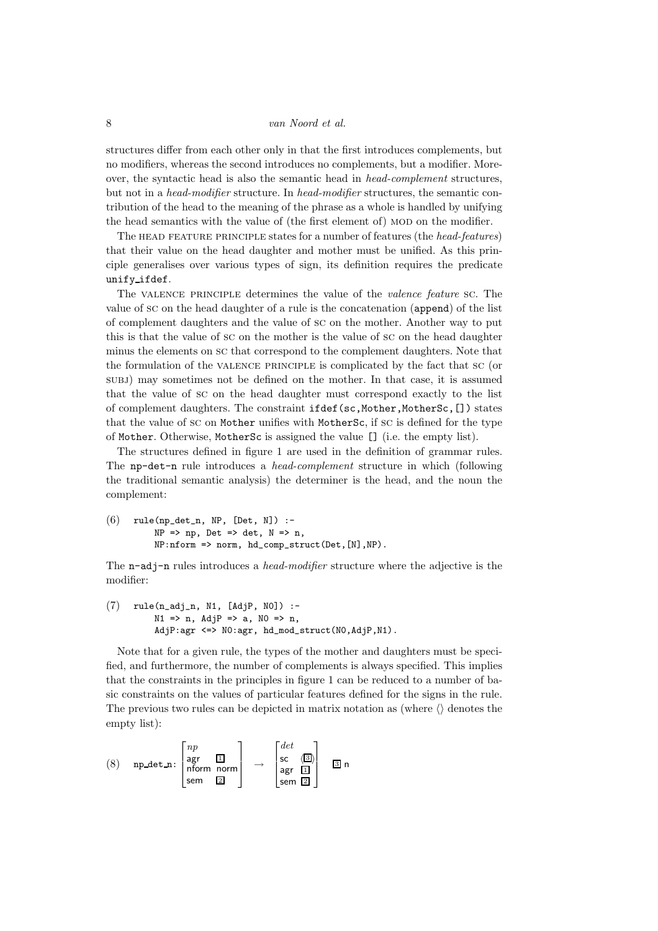structures differ from each other only in that the first introduces complements, but no modifiers, whereas the second introduces no complements, but a modifier. Moreover, the syntactic head is also the semantic head in head-complement structures, but not in a head-modifier structure. In head-modifier structures, the semantic contribution of the head to the meaning of the phrase as a whole is handled by unifying the head semantics with the value of (the first element of) mod on the modifier.

The HEAD FEATURE PRINCIPLE states for a number of features (the head-features) that their value on the head daughter and mother must be unified. As this principle generalises over various types of sign, its definition requires the predicate unify ifdef.

The VALENCE PRINCIPLE determines the value of the *valence feature* SC. The value of sc on the head daughter of a rule is the concatenation (append) of the list of complement daughters and the value of sc on the mother. Another way to put this is that the value of sc on the mother is the value of sc on the head daughter minus the elements on sc that correspond to the complement daughters. Note that the formulation of the valence principle is complicated by the fact that sc (or subj) may sometimes not be defined on the mother. In that case, it is assumed that the value of sc on the head daughter must correspond exactly to the list of complement daughters. The constraint ifdef(sc,Mother,MotherSc,[]) states that the value of sc on Mother unifies with MotherSc, if sc is defined for the type of Mother. Otherwise, MotherSc is assigned the value [] (i.e. the empty list).

The structures defined in figure 1 are used in the definition of grammar rules. The np-det-n rule introduces a head-complement structure in which (following the traditional semantic analysis) the determiner is the head, and the noun the complement:

```
rule(np_det_n, NP, [Det, N]) :-
         NP => np, Det => det, N => n,
         NP:nform => norm, hd_comp_struct(Det,[N],NP).
(6)
```
The n-adj-n rules introduces a *head-modifier* structure where the adjective is the modifier:

 $(7)$  rule(n\_adj\_n, N1, [AdjP, N0]) :- $N1 \Rightarrow n$ ,  $AdiP \Rightarrow a$ ,  $N0 \Rightarrow n$ , AdjP:agr <=> N0:agr, hd\_mod\_struct(N0,AdjP,N1).

Note that for a given rule, the types of the mother and daughters must be specified, and furthermore, the number of complements is always specified. This implies that the constraints in the principles in figure 1 can be reduced to a number of basic constraints on the values of particular features defined for the signs in the rule. The previous two rules can be depicted in matrix notation as (where  $\langle \rangle$  denotes the empty list):

$$
(8) \quad \text{np\_det\_n: } \begin{bmatrix} np \\ \text{agr} \\ \text{nfform} \\ \text{sem} \quad \boxed{2} \end{bmatrix} \quad \rightarrow \quad \begin{bmatrix} det \\ \text{sc} \\ \text{ac} \\ \text{agr} \quad \boxed{1} \\ \text{sem} \quad \boxed{2} \end{bmatrix} \quad \boxed{3} \ \text{n}
$$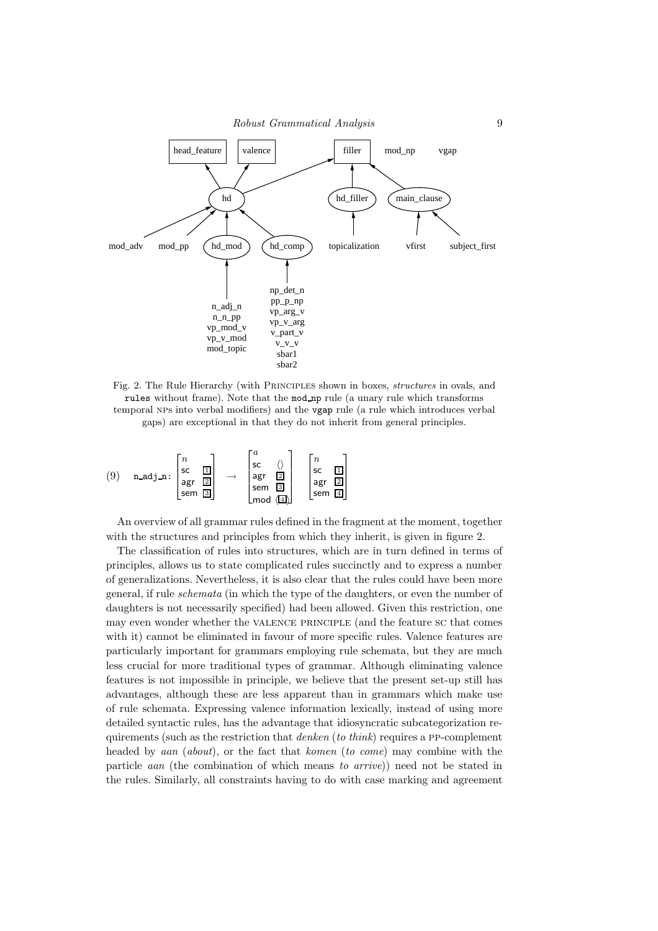

Fig. 2. The Rule Hierarchy (with PRINCIPLES shown in boxes, *structures* in ovals, and rules without frame). Note that the mod\_np rule (a unary rule which transforms temporal NPs into verbal modifiers) and the vgap rule (a rule which introduces verbal gaps) are exceptional in that they do not inherit from general principles.

$$
(9) \quad \texttt{n\_adj\_n}: \begin{bmatrix} n \\ \texttt{sc} & \texttt{I} \\ \texttt{agr} & \texttt{I2} \\ \texttt{sem} & \texttt{I3} \end{bmatrix} \quad \rightarrow \quad \begin{bmatrix} a \\ \texttt{sc} & \langle \rangle \\ \texttt{agr} & \texttt{I2} \\ \texttt{sem} & \texttt{I3} \\ \texttt{mod} & \langle \texttt{I1} \rangle \end{bmatrix} \quad \begin{bmatrix} n \\ \texttt{sc} & \texttt{I1} \\ \texttt{ger} & \texttt{I2} \\ \texttt{sem} & \texttt{I3} \end{bmatrix}
$$

An overview of all grammar rules defined in the fragment at the moment, together with the structures and principles from which they inherit, is given in figure 2.

The classification of rules into structures, which are in turn defined in terms of principles, allows us to state complicated rules succinctly and to express a number of generalizations. Nevertheless, it is also clear that the rules could have been more general, if rule schemata (in which the type of the daughters, or even the number of daughters is not necessarily specified) had been allowed. Given this restriction, one may even wonder whether the valence principle (and the feature sc that comes with it) cannot be eliminated in favour of more specific rules. Valence features are particularly important for grammars employing rule schemata, but they are much less crucial for more traditional types of grammar. Although eliminating valence features is not impossible in principle, we believe that the present set-up still has advantages, although these are less apparent than in grammars which make use of rule schemata. Expressing valence information lexically, instead of using more detailed syntactic rules, has the advantage that idiosyncratic subcategorization requirements (such as the restriction that *denken* (to think) requires a PP-complement headed by aan (about), or the fact that komen (to come) may combine with the particle aan (the combination of which means to arrive)) need not be stated in the rules. Similarly, all constraints having to do with case marking and agreement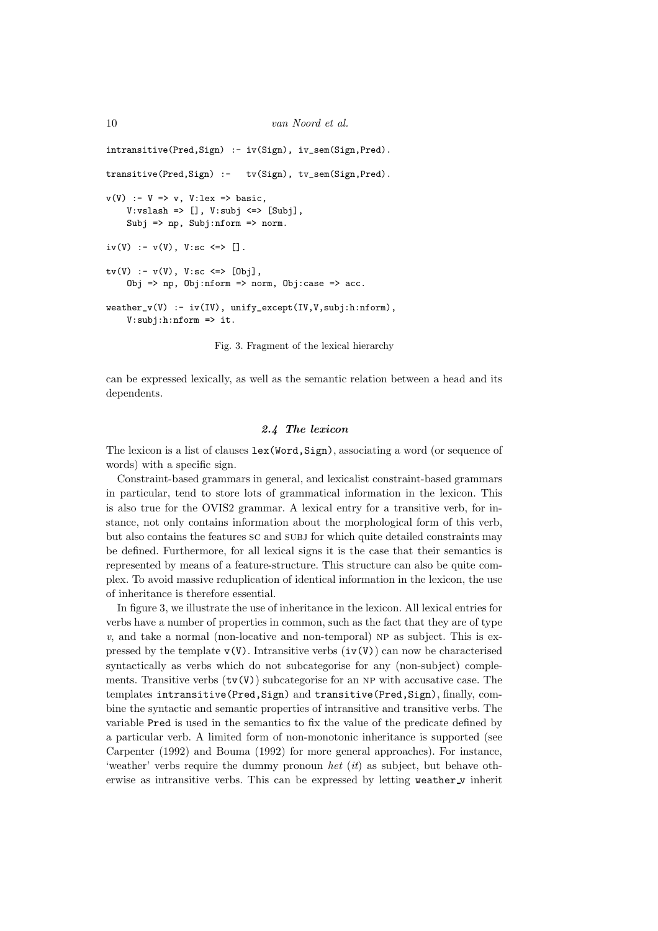```
intransitive(Pred,Sign) :- iv(Sign), iv_sem(Sign,Pred).
transitive(Pred,Sign) :- tv(Sign), tv_sem(Sign,Pred).
v(V) :- V \Rightarrow v, V: lex => basic,
    V: vslash \Rightarrow [], V: subj \iff [Subj],
    Subj => np, Subj:nform => norm.
iv(V) :- v(V), V:sc \iff [].
tv(V) :- v(V), V:sc <=> [Obj],
    Obj => np, Obj:nform => norm, Obj:case => acc.
weather_v(V) :- iv(IV), unify_except(IV,V,subj:h:nform),
    V:subj:h:nform => it.
```
Fig. 3. Fragment of the lexical hierarchy

can be expressed lexically, as well as the semantic relation between a head and its dependents.

## 2.4 The lexicon

The lexicon is a list of clauses lex(Word,Sign), associating a word (or sequence of words) with a specific sign.

Constraint-based grammars in general, and lexicalist constraint-based grammars in particular, tend to store lots of grammatical information in the lexicon. This is also true for the OVIS2 grammar. A lexical entry for a transitive verb, for instance, not only contains information about the morphological form of this verb, but also contains the features sc and subj for which quite detailed constraints may be defined. Furthermore, for all lexical signs it is the case that their semantics is represented by means of a feature-structure. This structure can also be quite complex. To avoid massive reduplication of identical information in the lexicon, the use of inheritance is therefore essential.

In figure 3, we illustrate the use of inheritance in the lexicon. All lexical entries for verbs have a number of properties in common, such as the fact that they are of type  $v$ , and take a normal (non-locative and non-temporal) NP as subject. This is expressed by the template  $v(V)$ . Intransitive verbs  $(iv(V))$  can now be characterised syntactically as verbs which do not subcategorise for any (non-subject) complements. Transitive verbs  $(tv(V))$  subcategorise for an NP with accusative case. The templates intransitive(Pred,Sign) and transitive(Pred,Sign), finally, combine the syntactic and semantic properties of intransitive and transitive verbs. The variable Pred is used in the semantics to fix the value of the predicate defined by a particular verb. A limited form of non-monotonic inheritance is supported (see Carpenter (1992) and Bouma (1992) for more general approaches). For instance, 'weather' verbs require the dummy pronoun het (it) as subject, but behave otherwise as intransitive verbs. This can be expressed by letting weather v inherit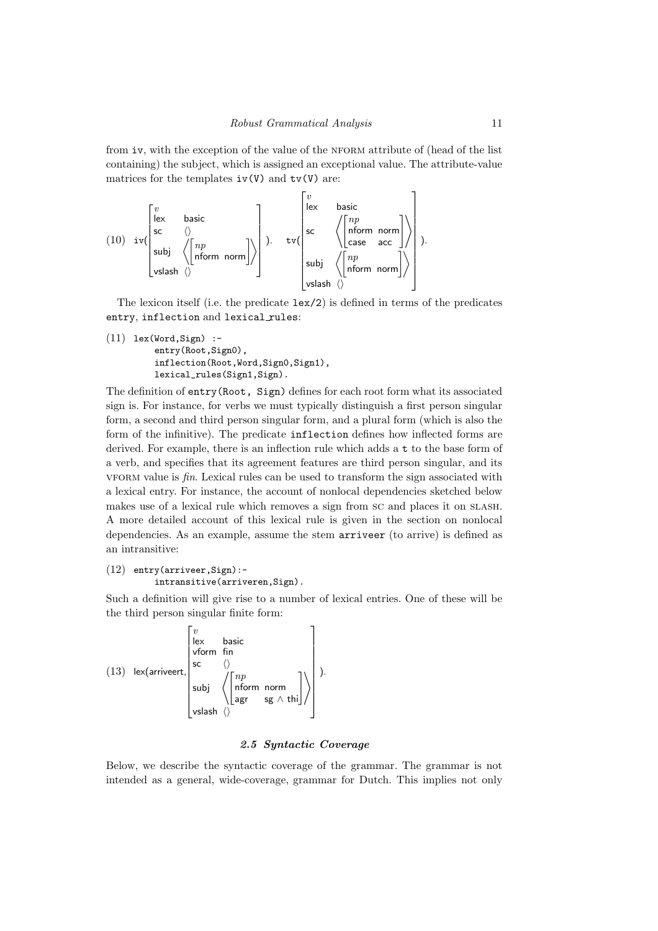from iv, with the exception of the value of the NFORM attribute of (head of the list containing) the subject, which is assigned an exceptional value. The attribute-value matrices for the templates  $iv(V)$  and  $tv(V)$  are:



The lexicon itself (i.e. the predicate lex/2) is defined in terms of the predicates entry, inflection and lexical rules:

```
(11) lex(Word, Sign) :-
         entry(Root,Sign0),
         inflection(Root,Word,Sign0,Sign1),
         lexical_rules(Sign1,Sign).
```
The definition of entry(Root, Sign) defines for each root form what its associated sign is. For instance, for verbs we must typically distinguish a first person singular form, a second and third person singular form, and a plural form (which is also the form of the infinitive). The predicate inflection defines how inflected forms are derived. For example, there is an inflection rule which adds a t to the base form of a verb, and specifies that its agreement features are third person singular, and its vFORM value is  $fin.$  Lexical rules can be used to transform the sign associated with a lexical entry. For instance, the account of nonlocal dependencies sketched below makes use of a lexical rule which removes a sign from sc and places it on slash. A more detailed account of this lexical rule is given in the section on nonlocal dependencies. As an example, assume the stem arriveer (to arrive) is defined as an intransitive:

```
(12) entry (arriveer, Sign) :-
         intransitive(arriveren,Sign).
```
Such a definition will give rise to a number of lexical entries. One of these will be the third person singular finite form:

$$
(13) \quad \text{lex} \left(\text{ariveert}, \begin{bmatrix} v \\ \text{lex} & \text{basic} \\ \text{sc} & \langle \rangle \\ \text{subj} & \left\langle \begin{bmatrix} np \\ \text{inform} & \text{norm} \\ \text{agr} & \text{sg} \wedge \text{thi} \end{bmatrix} \right\rangle \end{bmatrix} \right).
$$

## 2.5 Syntactic Coverage

Below, we describe the syntactic coverage of the grammar. The grammar is not intended as a general, wide-coverage, grammar for Dutch. This implies not only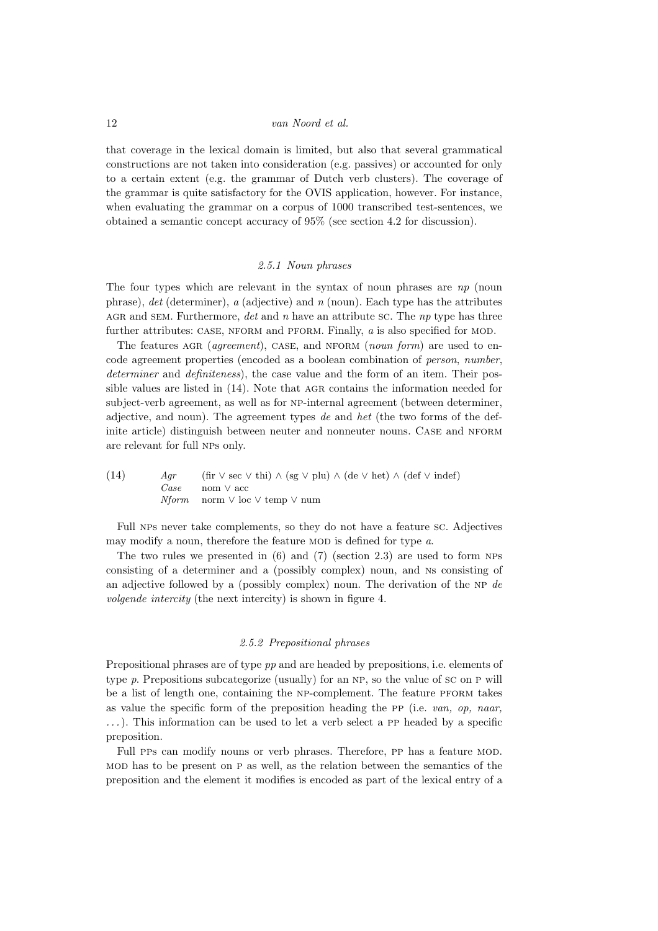that coverage in the lexical domain is limited, but also that several grammatical constructions are not taken into consideration (e.g. passives) or accounted for only to a certain extent (e.g. the grammar of Dutch verb clusters). The coverage of the grammar is quite satisfactory for the OVIS application, however. For instance, when evaluating the grammar on a corpus of 1000 transcribed test-sentences, we obtained a semantic concept accuracy of 95% (see section 4.2 for discussion).

## 2.5.1 Noun phrases

The four types which are relevant in the syntax of noun phrases are  $np$  (noun phrase),  $det$  (determiner),  $a$  (adjective) and  $n$  (noun). Each type has the attributes AGR and SEM. Furthermore,  $det$  and n have an attribute sc. The np type has three further attributes: CASE, NFORM and PFORM. Finally,  $a$  is also specified for MOD.

The features  $AGR$  (*agreement*), CASE, and NFORM (*noun form*) are used to encode agreement properties (encoded as a boolean combination of person, number, determiner and definiteness), the case value and the form of an item. Their possible values are listed in (14). Note that agr contains the information needed for subject-verb agreement, as well as for np-internal agreement (between determiner, adjective, and noun). The agreement types de and het (the two forms of the definite article) distinguish between neuter and nonneuter nouns. CASE and NFORM are relevant for full NPs only.

Agr (fir ∨ sec ∨ thi)  $\land$  (sg ∨ plu)  $\land$  (de ∨ het)  $\land$  (def ∨ indef) Case nom ∨ acc  $Nform$  norm  $\vee$  loc  $\vee$  temp  $\vee$  num (14)

Full nps never take complements, so they do not have a feature sc. Adjectives may modify a noun, therefore the feature MOD is defined for type  $a$ .

The two rules we presented in  $(6)$  and  $(7)$  (section 2.3) are used to form NPs consisting of a determiner and a (possibly complex) noun, and ns consisting of an adjective followed by a (possibly complex) noun. The derivation of the NP  $de$ volgende intercity (the next intercity) is shown in figure 4.

## 2.5.2 Prepositional phrases

Prepositional phrases are of type pp and are headed by prepositions, i.e. elements of type p. Prepositions subcategorize (usually) for an NP, so the value of  $SC$  on P will be a list of length one, containing the np-complement. The feature pform takes as value the specific form of the preposition heading the PP (i.e.  $van, op, naar,$ . . .). This information can be used to let a verb select a pp headed by a specific preposition.

Full PPs can modify nouns or verb phrases. Therefore, PP has a feature MOD. mod has to be present on p as well, as the relation between the semantics of the preposition and the element it modifies is encoded as part of the lexical entry of a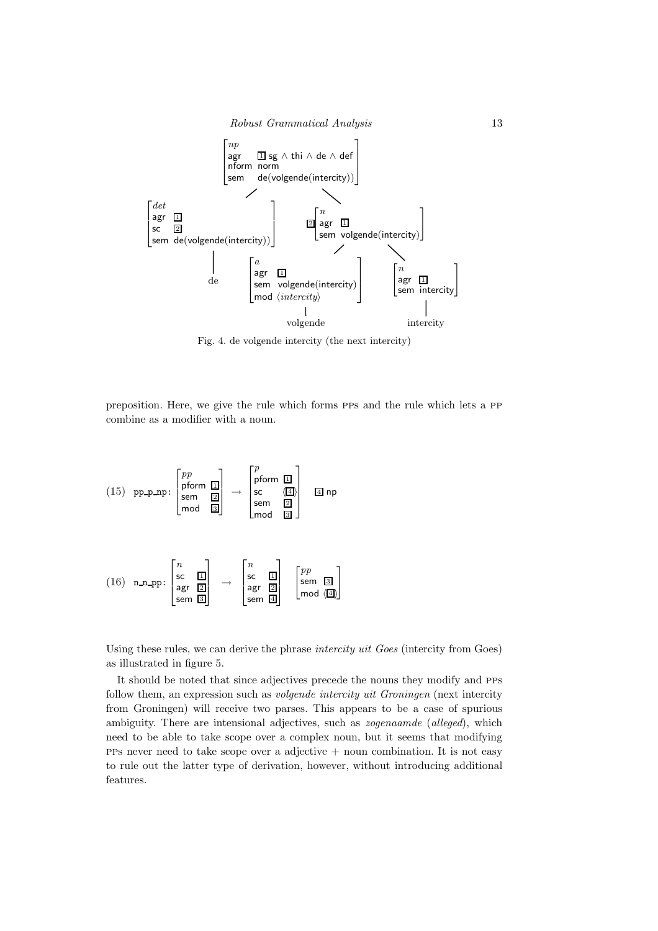

Fig. 4. de volgende intercity (the next intercity)

preposition. Here, we give the rule which forms pps and the rule which lets a pp combine as a modifier with a noun.

$$
(15) \quad \text{pp-p-np: } \begin{bmatrix} pp \\ \text{pform} \\ \text{sem} \\ \text{mod} \quad \boxed{\boxed{2}} \\ \text{mod} \quad \boxed{\boxed{3}} \end{bmatrix} \rightarrow \begin{bmatrix} p \\ \text{pform} \\ \text{sc} \\ \text{sem} \\ \text{sem} \quad \boxed{\boxed{2}} \\ \text{mod} \quad \boxed{\boxed{3}} \end{bmatrix} \quad \boxed{\boxed{4} \text{ np}}
$$

$$
(16) \quad \texttt{n\_n\_pp:} \begin{bmatrix} n \\ \texttt{sc} \\ \texttt{agr} \end{bmatrix} \longrightarrow \begin{bmatrix} n \\ \texttt{sc} \\ \texttt{agr} \end{bmatrix} \begin{bmatrix} p \\ \texttt{sc} \\ \texttt{agr} \end{bmatrix} \begin{bmatrix} pp \\ \texttt{sem} \end{bmatrix}
$$

Using these rules, we can derive the phrase intercity uit Goes (intercity from Goes) as illustrated in figure 5.

It should be noted that since adjectives precede the nouns they modify and pps follow them, an expression such as volgende intercity uit Groningen (next intercity from Groningen) will receive two parses. This appears to be a case of spurious ambiguity. There are intensional adjectives, such as *zogenaamde* (alleged), which need to be able to take scope over a complex noun, but it seems that modifying pps never need to take scope over a adjective + noun combination. It is not easy to rule out the latter type of derivation, however, without introducing additional features.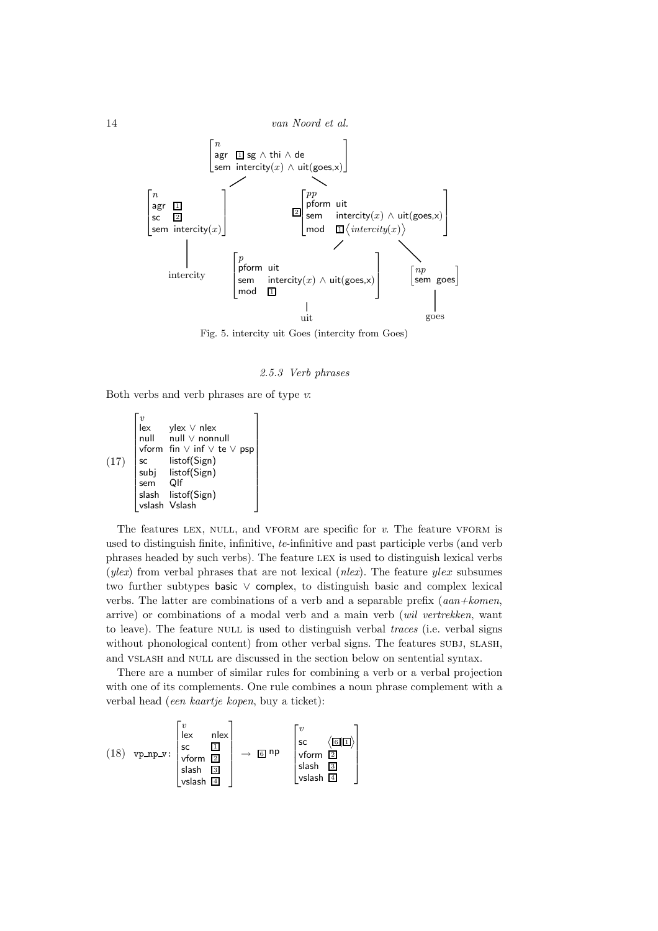

Fig. 5. intercity uit Goes (intercity from Goes)

2.5.3 Verb phrases

Both verbs and verb phrases are of type  $v$ :

 $\sqrt{ }$ null  $\begin{array}{ll}\n\text{num} & \text{num} \lor \text{nom} \\
\text{vform} & \text{fin} \lor \text{inf} \lor \text{te} \lor \text{psp}\n\end{array}$  $\overline{\phantom{a}}$ subi  $\overline{\phantom{a}}$  sem Qlf  $\overline{\phantom{a}}$ lex lex ylex ∨ nlex null null ∨ nonnull listof(Sign) listof(Sign)<br>Qlf slash listof(Sign)<br>| vslash Vslash Vslash 1  $\overline{1}$  $\overline{1}$  $\overline{1}$  $\overline{1}$  $\overline{1}$  $\mathbf{I}$  $\overline{ }$  $\overline{1}$  $\overline{1}$  $\overline{1}$ (17)

The features LEX, NULL, and VFORM are specific for  $v$ . The feature VFORM is used to distinguish finite, infinitive, te-infinitive and past participle verbs (and verb phrases headed by such verbs). The feature lex is used to distinguish lexical verbs  $(ylex)$  from verbal phrases that are not lexical  $(nlex)$ . The feature  $ylex$  subsumes two further subtypes basic ∨ complex, to distinguish basic and complex lexical verbs. The latter are combinations of a verb and a separable prefix  $(aan+komen,$ arrive) or combinations of a modal verb and a main verb (wil vertrekken, want to leave). The feature NULL is used to distinguish verbal traces (i.e. verbal signs without phonological content) from other verbal signs. The features SUBJ, SLASH, and VSLASH and NULL are discussed in the section below on sentential syntax.

There are a number of similar rules for combining a verb or a verbal projection with one of its complements. One rule combines a noun phrase complement with a verbal head (een kaartje kopen, buy a ticket):

$$
(18) \text{ vp_np-v: } \begin{bmatrix} v \\ v \\ \text{sc} \\ v \\ \text{form} \quad \boxed{2} \\ \text{slash} \quad \boxed{3} \\ v \text{slash} \quad \boxed{4} \end{bmatrix} \rightarrow \begin{bmatrix} v \\ v \\ \text{sc} \quad \boxed{2} \\ v \text{form} \quad \boxed{2} \\ \text{slash} \quad \boxed{3} \\ v \text{slash} \quad \boxed{4} \end{bmatrix}
$$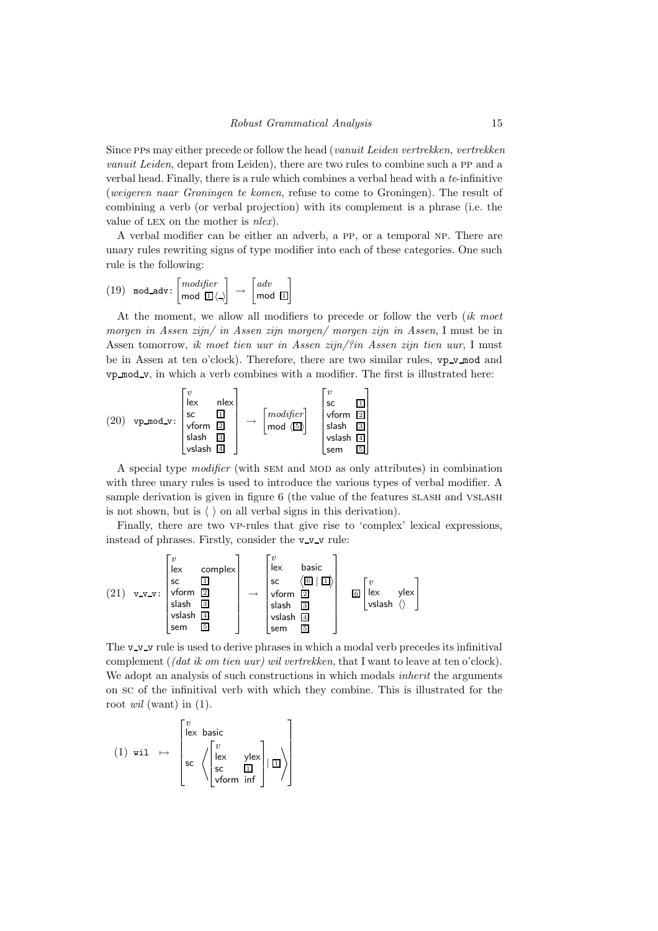Since pps may either precede or follow the head (vanuit Leiden vertrekken, vertrekken vanuit Leiden, depart from Leiden), there are two rules to combine such a pp and a verbal head. Finally, there is a rule which combines a verbal head with a te-infinitive (weigeren naar Groningen te komen, refuse to come to Groningen). The result of combining a verb (or verbal projection) with its complement is a phrase (i.e. the value of LEX on the mother is *nlex*).

A verbal modifier can be either an adverb, a pp, or a temporal np. There are unary rules rewriting signs of type modifier into each of these categories. One such rule is the following:

$$
(19) \quad \text{mod\_adv}: \begin{bmatrix} \text{modifier} \\ \text{mod } \Box \langle \_ \rangle \end{bmatrix} \rightarrow \begin{bmatrix} \text{adv} \\ \text{mod } \Box \end{bmatrix}
$$

At the moment, we allow all modifiers to precede or follow the verb  $(ik \text{ moet } )$ morgen in Assen zijn/ in Assen zijn morgen/ morgen zijn in Assen, I must be in Assen tomorrow, ik moet tien uur in Assen zijn/?in Assen zijn tien uur, I must be in Assen at ten o'clock). Therefore, there are two similar rules,  $vp\_v\_mod$  and vp mod v, in which a verb combines with a modifier. The first is illustrated here:

vp mod v: v lex nlex sc <sup>1</sup> vform <sup>2</sup> slash <sup>3</sup> vslash <sup>4</sup> → modifier mod h <sup>5</sup> i v sc <sup>1</sup> vform <sup>2</sup> slash <sup>3</sup> vslash <sup>4</sup> sem <sup>5</sup> (20)

A special type modifier (with sem and mod as only attributes) in combination with three unary rules is used to introduce the various types of verbal modifier. A sample derivation is given in figure 6 (the value of the features SLASH and VSLASH is not shown, but is  $\langle \ \rangle$  on all verbal signs in this derivation).

Finally, there are two vp-rules that give rise to 'complex' lexical expressions, instead of phrases. Firstly, consider the  $v_v v$  v rule:

$$
(21) \quad \text{v\_v\_v}: \begin{bmatrix} v \\ \text{lex} \\ \text{sc} \\ \text{vform} \\ \text{slash} \end{bmatrix} \rightarrow \begin{bmatrix} v \\ \text{lex} \\ \text{sc} \\ \text{sc} \\ \text{vform} \\ \text{slash} \end{bmatrix} \rightarrow \begin{bmatrix} v \\ \text{lex} \\ \text{sc} \\ \text{vform} \\ \text{slash} \end{bmatrix} \begin{bmatrix} v \\ \text{lex} \\ \text{os} \\ \text{lum} \end{bmatrix} \quad \begin{bmatrix} v \\ \text{lex} \\ \text{vislash} \\ \text{vislash} \end{bmatrix}
$$

The  $v_v$  v rule is used to derive phrases in which a modal verb precedes its infinitival complement ((dat ik om tien uur) wil vertrekken, that I want to leave at ten o'clock). We adopt an analysis of such constructions in which modals *inherit* the arguments on sc of the infinitival verb with which they combine. This is illustrated for the root wil (want) in (1).

$$
(1) \text{ will } \mapsto \begin{bmatrix} v \\ \text{lex basic} \\ \text{sc} \end{bmatrix} \begin{bmatrix} v \\ \text{lex} \\ \text{lex} \\ \text{sc} \end{bmatrix} \begin{bmatrix} v \\ \text{lex} \\ \text{in} \end{bmatrix} \begin{bmatrix} \text{max} \\ \text{max} \end{bmatrix}
$$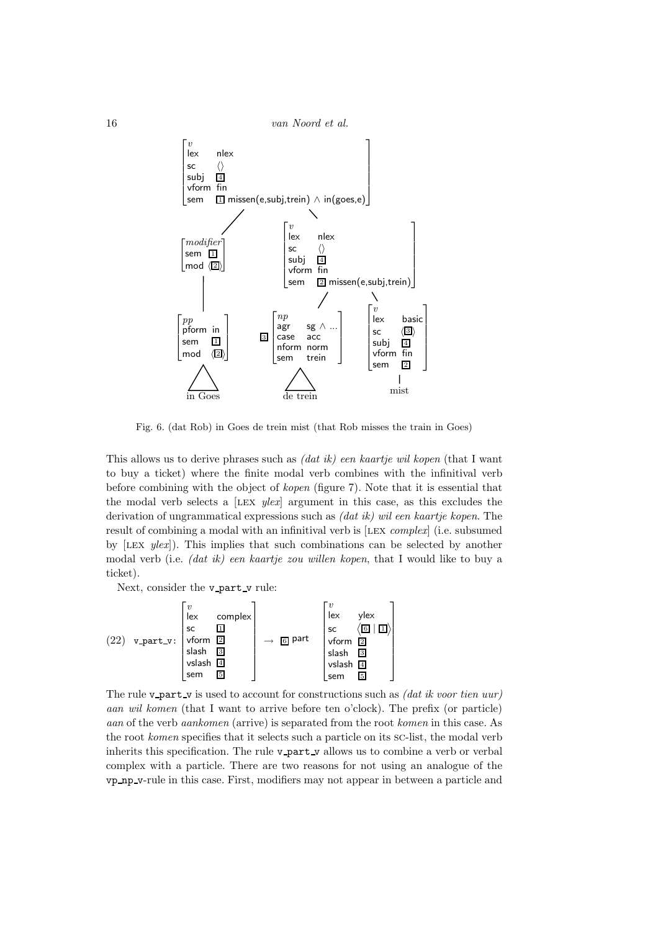

Fig. 6. (dat Rob) in Goes de trein mist (that Rob misses the train in Goes)

This allows us to derive phrases such as  $(data\,ik)$  een kaartje wil kopen (that I want to buy a ticket) where the finite modal verb combines with the infinitival verb before combining with the object of kopen (figure 7). Note that it is essential that the modal verb selects a  $[LEX\; ylex]$  argument in this case, as this excludes the derivation of ungrammatical expressions such as (dat ik) wil een kaartje kopen. The result of combining a modal with an infinitival verb is [LEX *complex*] (i.e. subsumed by [LEX ylex]). This implies that such combinations can be selected by another modal verb (i.e. (dat ik) een kaartje zou willen kopen, that I would like to buy a ticket).

Next, consider the v\_part\_v rule:



The rule v\_part\_v is used to account for constructions such as  $(data\;ik\;voor\;tien\;uur)$ aan wil komen (that I want to arrive before ten o'clock). The prefix (or particle) aan of the verb aankomen (arrive) is separated from the root komen in this case. As the root komen specifies that it selects such a particle on its sc-list, the modal verb inherits this specification. The rule  $v$  part  $\mathbf v$  allows us to combine a verb or verbal complex with a particle. There are two reasons for not using an analogue of the vp np v-rule in this case. First, modifiers may not appear in between a particle and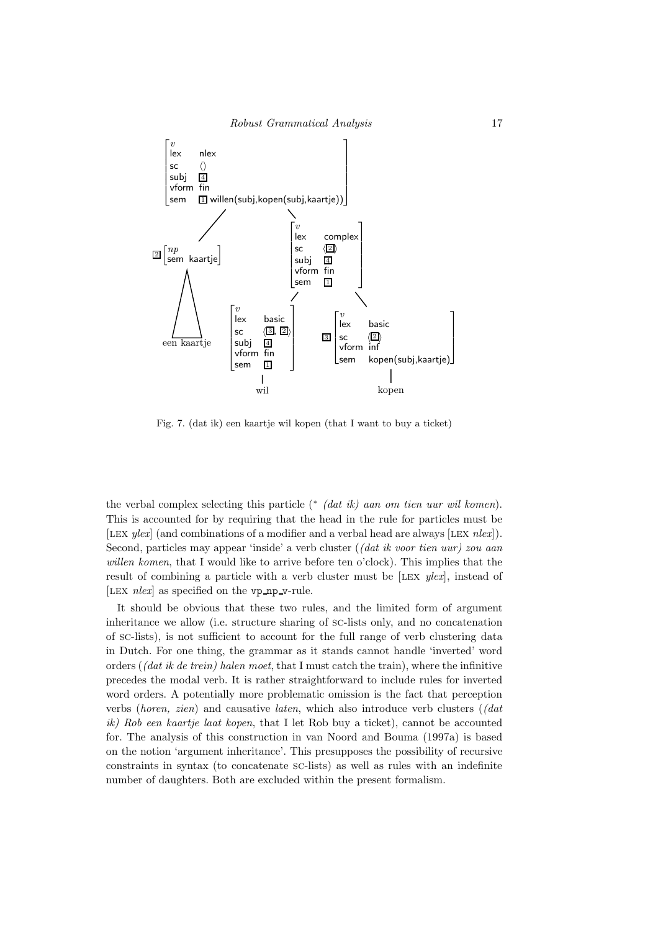

Fig. 7. (dat ik) een kaartje wil kopen (that I want to buy a ticket)

the verbal complex selecting this particle  $(*$  (dat ik) aan om tien uur wil komen). This is accounted for by requiring that the head in the rule for particles must be [LEX ylex] (and combinations of a modifier and a verbal head are always [LEX  $\textit{nlex}$ ]). Second, particles may appear 'inside' a verb cluster ((dat ik voor tien uur) zou aan willen komen, that I would like to arrive before ten o'clock). This implies that the result of combining a particle with a verb cluster must be [LEX ylex], instead of [LEX  $nlex$ ] as specified on the vp\_np\_v-rule.

It should be obvious that these two rules, and the limited form of argument inheritance we allow (i.e. structure sharing of sc-lists only, and no concatenation of sc-lists), is not sufficient to account for the full range of verb clustering data in Dutch. For one thing, the grammar as it stands cannot handle 'inverted' word orders ((dat ik de trein) halen moet, that I must catch the train), where the infinitive precedes the modal verb. It is rather straightforward to include rules for inverted word orders. A potentially more problematic omission is the fact that perception verbs (horen, zien) and causative laten, which also introduce verb clusters ((dat ik) Rob een kaartje laat kopen, that I let Rob buy a ticket), cannot be accounted for. The analysis of this construction in van Noord and Bouma (1997a) is based on the notion 'argument inheritance'. This presupposes the possibility of recursive constraints in syntax (to concatenate sc-lists) as well as rules with an indefinite number of daughters. Both are excluded within the present formalism.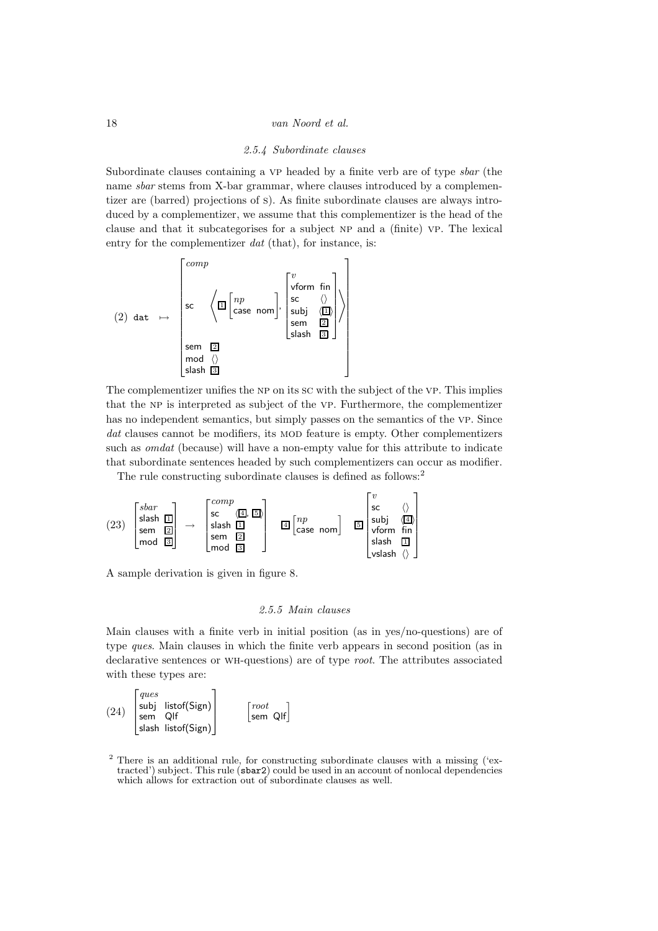#### 2.5.4 Subordinate clauses

Subordinate clauses containing a vp headed by a finite verb are of type sbar (the name sbar stems from X-bar grammar, where clauses introduced by a complementizer are (barred) projections of s). As finite subordinate clauses are always introduced by a complementizer, we assume that this complementizer is the head of the clause and that it subcategorises for a subject np and a (finite) vp. The lexical entry for the complementizer dat (that), for instance, is:



The complementizer unifies the NP on its sc with the subject of the VP. This implies that the NP is interpreted as subject of the VP. Furthermore, the complementizer has no independent semantics, but simply passes on the semantics of the vp. Since dat clauses cannot be modifiers, its MOD feature is empty. Other complementizers such as *omdat* (because) will have a non-empty value for this attribute to indicate that subordinate sentences headed by such complementizers can occur as modifier.

The rule constructing subordinate clauses is defined as follows:<sup>2</sup>

$$
(23)\ \left[\begin{matrix}sbar\\ \text{slash} \\\text{sen} \\\text{sem}\end{matrix}\right] \longrightarrow \left[\begin{matrix}comp\\ \text{sc} \\\text{slash} \\\text{slash} \\\text{sem}\end{matrix}\right] \right] \longrightarrow \left[\begin{matrix}comp\\ \text{sc} \\\text{slash} \\\text{slash} \\\text{sem}\end{matrix}\right] \qquad \text{and} \qquad \boxed{2}
$$

A sample derivation is given in figure 8.

## 2.5.5 Main clauses

Main clauses with a finite verb in initial position (as in yes/no-questions) are of type ques. Main clauses in which the finite verb appears in second position (as in declarative sentences or wh-questions) are of type root. The attributes associated with these types are:

|      | ques    |                          |                      |
|------|---------|--------------------------|----------------------|
| (24) |         | $ subj$ listof(Sign) $ $ | $\lceil root \rceil$ |
|      | sem QIf |                          | sem Qlf              |
|      |         | slash listof(Sign)       |                      |

 $\blacksquare$ 

<sup>&</sup>lt;sup>2</sup> There is an additional rule, for constructing subordinate clauses with a missing ('extracted') subject. This rule (sbar2) could be used in an account of nonlocal dependencies which allows for extraction out of subordinate clauses as well.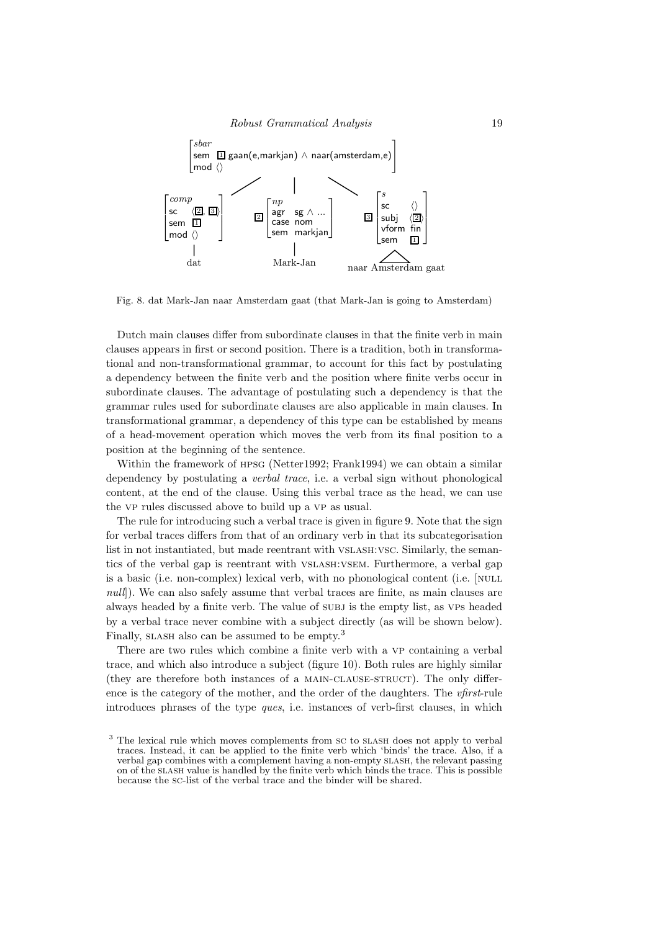

Fig. 8. dat Mark-Jan naar Amsterdam gaat (that Mark-Jan is going to Amsterdam)

Dutch main clauses differ from subordinate clauses in that the finite verb in main clauses appears in first or second position. There is a tradition, both in transformational and non-transformational grammar, to account for this fact by postulating a dependency between the finite verb and the position where finite verbs occur in subordinate clauses. The advantage of postulating such a dependency is that the grammar rules used for subordinate clauses are also applicable in main clauses. In transformational grammar, a dependency of this type can be established by means of a head-movement operation which moves the verb from its final position to a position at the beginning of the sentence.

Within the framework of HPSG (Netter1992; Frank1994) we can obtain a similar dependency by postulating a verbal trace, i.e. a verbal sign without phonological content, at the end of the clause. Using this verbal trace as the head, we can use the vp rules discussed above to build up a vp as usual.

The rule for introducing such a verbal trace is given in figure 9. Note that the sign for verbal traces differs from that of an ordinary verb in that its subcategorisation list in not instantiated, but made reentrant with vslash:vsc. Similarly, the semantics of the verbal gap is reentrant with vslash:vsem. Furthermore, a verbal gap is a basic (i.e. non-complex) lexical verb, with no phonological content (i.e. [NULL] null). We can also safely assume that verbal traces are finite, as main clauses are always headed by a finite verb. The value of subj is the empty list, as vps headed by a verbal trace never combine with a subject directly (as will be shown below). Finally, SLASH also can be assumed to be empty.<sup>3</sup>

There are two rules which combine a finite verb with a vp containing a verbal trace, and which also introduce a subject (figure 10). Both rules are highly similar (they are therefore both instances of a main-clause-struct). The only difference is the category of the mother, and the order of the daughters. The *vfirst*-rule introduces phrases of the type ques, i.e. instances of verb-first clauses, in which

<sup>&</sup>lt;sup>3</sup> The lexical rule which moves complements from sc to sLASH does not apply to verbal traces. Instead, it can be applied to the finite verb which 'binds' the trace. Also, if a verbal gap combines with a complement having a non-empty slash, the relevant passing on of the slash value is handled by the finite verb which binds the trace. This is possible because the sc-list of the verbal trace and the binder will be shared.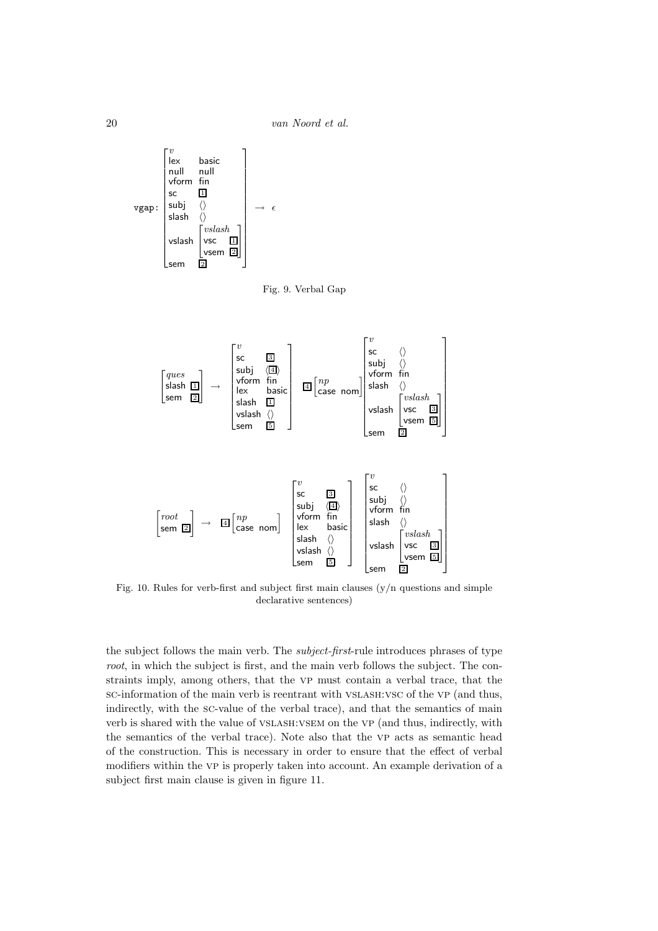

Fig. 9. Verbal Gap



Fig. 10. Rules for verb-first and subject first main clauses (y/n questions and simple declarative sentences)

the subject follows the main verb. The subject-first-rule introduces phrases of type root, in which the subject is first, and the main verb follows the subject. The constraints imply, among others, that the vp must contain a verbal trace, that the sc-information of the main verb is reentrant with VSLASH:VSC of the VP (and thus, indirectly, with the sc-value of the verbal trace), and that the semantics of main verb is shared with the value of vslash:vsem on the vp (and thus, indirectly, with the semantics of the verbal trace). Note also that the vp acts as semantic head of the construction. This is necessary in order to ensure that the effect of verbal modifiers within the vp is properly taken into account. An example derivation of a subject first main clause is given in figure 11.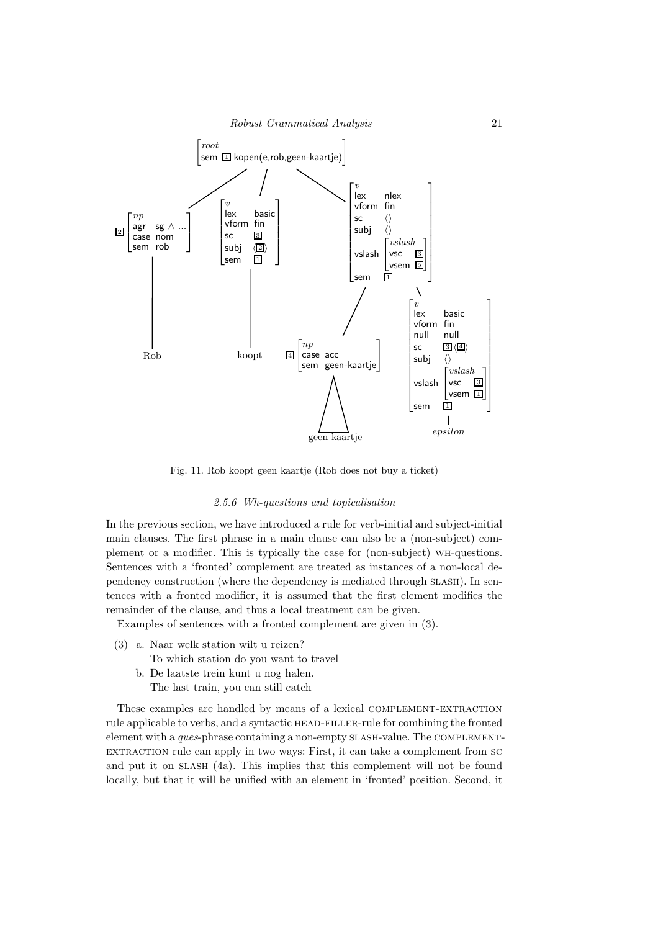

Fig. 11. Rob koopt geen kaartje (Rob does not buy a ticket)

## 2.5.6 Wh-questions and topicalisation

In the previous section, we have introduced a rule for verb-initial and subject-initial main clauses. The first phrase in a main clause can also be a (non-subject) complement or a modifier. This is typically the case for (non-subject) wh-questions. Sentences with a 'fronted' complement are treated as instances of a non-local dependency construction (where the dependency is mediated through slash). In sentences with a fronted modifier, it is assumed that the first element modifies the remainder of the clause, and thus a local treatment can be given.

Examples of sentences with a fronted complement are given in (3).

- (3) a. Naar welk station wilt u reizen?
	- To which station do you want to travel
	- b. De laatste trein kunt u nog halen. The last train, you can still catch

These examples are handled by means of a lexical complement-extraction rule applicable to verbs, and a syntactic head-filler-rule for combining the fronted element with a *ques*-phrase containing a non-empty SLASH-value. The COMPLEMENTextraction rule can apply in two ways: First, it can take a complement from sc and put it on slash (4a). This implies that this complement will not be found locally, but that it will be unified with an element in 'fronted' position. Second, it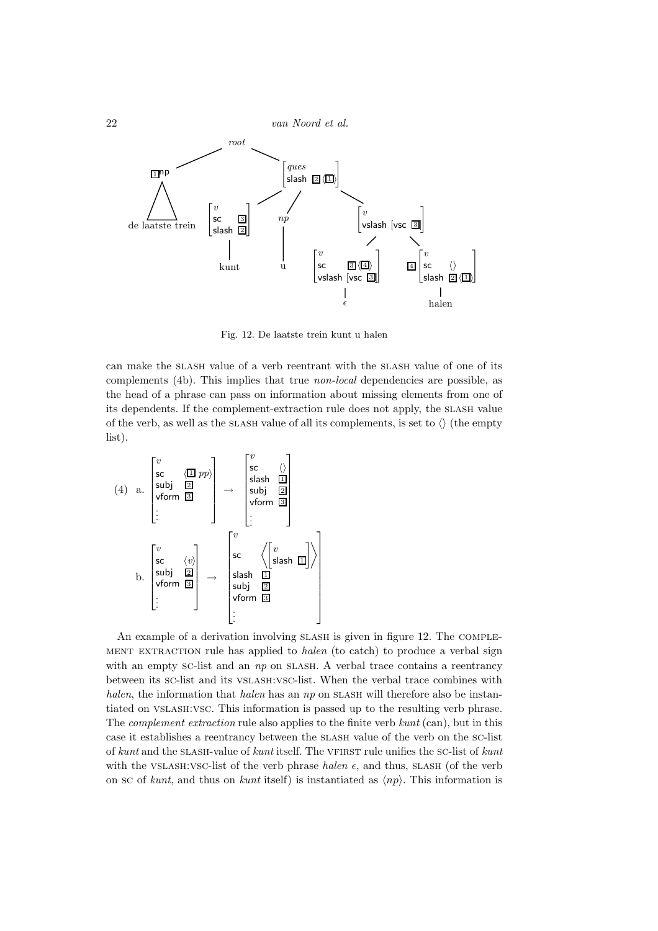

Fig. 12. De laatste trein kunt u halen

can make the SLASH value of a verb reentrant with the SLASH value of one of its complements (4b). This implies that true non-local dependencies are possible, as the head of a phrase can pass on information about missing elements from one of its dependents. If the complement-extraction rule does not apply, the slash value of the verb, as well as the sLASH value of all its complements, is set to  $\langle \rangle$  (the empty list).

$$
(4) \quad \text{a.} \quad \begin{bmatrix} v \\ \text{sc} & \langle \underline{\mathbf{u}} \rangle p p \\ \text{with} & \boxed{2} \\ \text{from } \boxed{3} \end{bmatrix} \rightarrow \begin{bmatrix} v \\ \text{sc} & \langle \rangle \\ \text{slash} & \boxed{1} \\ \text{with} & \boxed{2} \\ \text{with} & \boxed{2} \\ \text{from } \boxed{3} \end{bmatrix}
$$
  
  
b. 
$$
\begin{bmatrix} v \\ \text{sc} & \langle v \rangle \\ \text{with} & \boxed{2} \\ \text{with} & \boxed{2} \\ \text{with} & \boxed{3} \end{bmatrix} \rightarrow \begin{bmatrix} v \\ \text{sc} & \langle \boxed{v} \\ \text{slash} & \boxed{1} \\ \text{slash} & \boxed{1} \\ \text{slash} & \boxed{3} \\ \text{with} & \boxed{2} \\ \text{with} & \boxed{3} \end{bmatrix}
$$

An example of a derivation involving SLASH is given in figure 12. The COMPLEment extraction rule has applied to halen (to catch) to produce a verbal sign with an empty sc-list and an  $np$  on slash. A verbal trace contains a reentrancy between its sc-list and its vslash:vsc-list. When the verbal trace combines with halen, the information that halen has an  $np$  on slash will therefore also be instantiated on vslash:vsc. This information is passed up to the resulting verb phrase. The *complement extraction* rule also applies to the finite verb *kunt* (can), but in this case it establishes a reentrancy between the slash value of the verb on the sc-list of kunt and the SLASH-value of kunt itself. The VFIRST rule unifies the SC-list of kunt with the VSLASH:VSC-list of the verb phrase halen  $\epsilon$ , and thus, SLASH (of the verb on sc of kunt, and thus on kunt itself) is instantiated as  $\langle np \rangle$ . This information is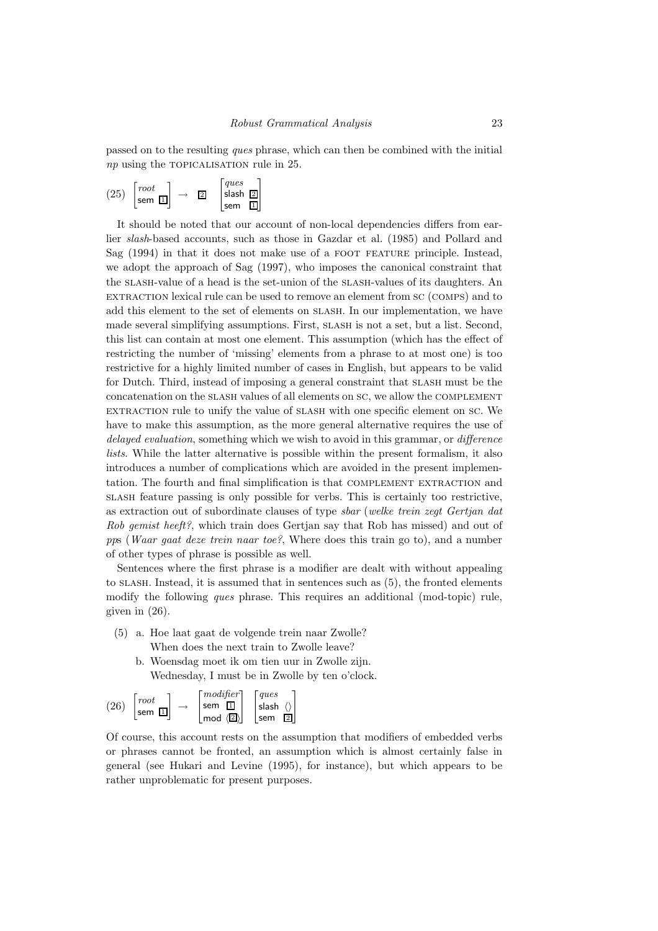passed on to the resulting ques phrase, which can then be combined with the initial np using the TOPICALISATION rule in 25.

$$
(25) \begin{bmatrix} root \\ \text{sem } \Box \end{bmatrix} \rightarrow \begin{bmatrix}ques \\ \text{slash } \Box \end{bmatrix}
$$

It should be noted that our account of non-local dependencies differs from earlier slash-based accounts, such as those in Gazdar et al. (1985) and Pollard and Sag  $(1994)$  in that it does not make use of a FOOT FEATURE principle. Instead, we adopt the approach of Sag (1997), who imposes the canonical constraint that the slash-value of a head is the set-union of the slash-values of its daughters. An extraction lexical rule can be used to remove an element from sc (comps) and to add this element to the set of elements on slash. In our implementation, we have made several simplifying assumptions. First, slash is not a set, but a list. Second, this list can contain at most one element. This assumption (which has the effect of restricting the number of 'missing' elements from a phrase to at most one) is too restrictive for a highly limited number of cases in English, but appears to be valid for Dutch. Third, instead of imposing a general constraint that slash must be the concatenation on the slash values of all elements on sc, we allow the complement extraction rule to unify the value of slash with one specific element on sc. We have to make this assumption, as the more general alternative requires the use of delayed evaluation, something which we wish to avoid in this grammar, or difference lists. While the latter alternative is possible within the present formalism, it also introduces a number of complications which are avoided in the present implementation. The fourth and final simplification is that complement extraction and slash feature passing is only possible for verbs. This is certainly too restrictive, as extraction out of subordinate clauses of type sbar (welke trein zegt Gertjan dat Rob gemist heeft?, which train does Gertjan say that Rob has missed) and out of pps (Waar gaat deze trein naar toe?, Where does this train go to), and a number of other types of phrase is possible as well.

Sentences where the first phrase is a modifier are dealt with without appealing to slash. Instead, it is assumed that in sentences such as (5), the fronted elements modify the following ques phrase. This requires an additional (mod-topic) rule, given in (26).

- (5) a. Hoe laat gaat de volgende trein naar Zwolle? When does the next train to Zwolle leave?
	- b. Woensdag moet ik om tien uur in Zwolle zijn. Wednesday, I must be in Zwolle by ten o'clock.

$$
(26)\ \left[\begin{matrix} root \\ sem \ \Box \end{matrix}\right] \ \to \ \left[\begin{matrix} modifier \\ sem \ \Box \end{matrix}\right] \ \left[\begin{matrix}ques \\ slash \ \langle \rangle \end{matrix}\right]
$$

Of course, this account rests on the assumption that modifiers of embedded verbs or phrases cannot be fronted, an assumption which is almost certainly false in general (see Hukari and Levine (1995), for instance), but which appears to be rather unproblematic for present purposes.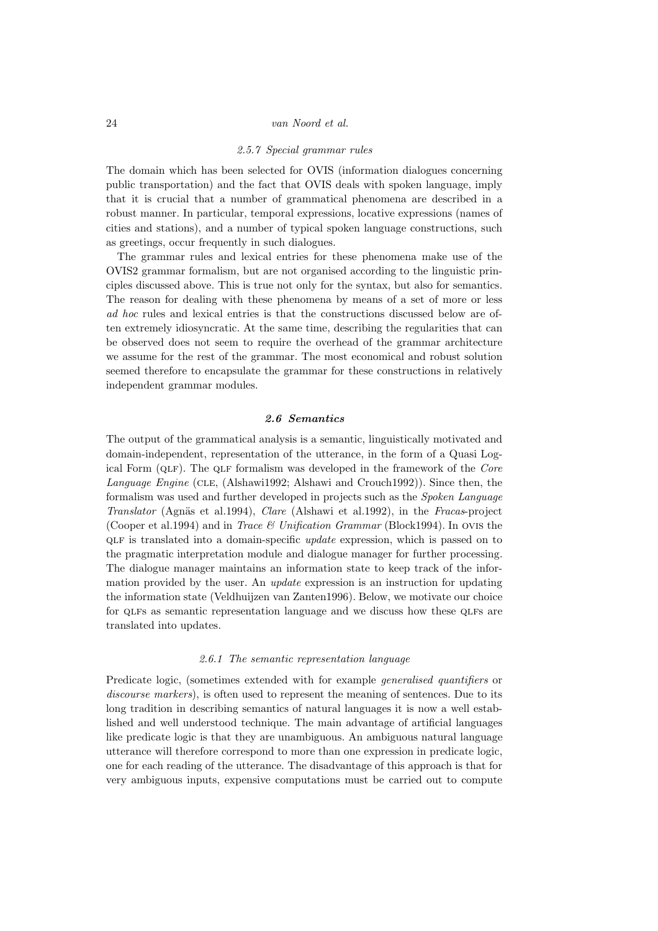#### 2.5.7 Special grammar rules

The domain which has been selected for OVIS (information dialogues concerning public transportation) and the fact that OVIS deals with spoken language, imply that it is crucial that a number of grammatical phenomena are described in a robust manner. In particular, temporal expressions, locative expressions (names of cities and stations), and a number of typical spoken language constructions, such as greetings, occur frequently in such dialogues.

The grammar rules and lexical entries for these phenomena make use of the OVIS2 grammar formalism, but are not organised according to the linguistic principles discussed above. This is true not only for the syntax, but also for semantics. The reason for dealing with these phenomena by means of a set of more or less ad hoc rules and lexical entries is that the constructions discussed below are often extremely idiosyncratic. At the same time, describing the regularities that can be observed does not seem to require the overhead of the grammar architecture we assume for the rest of the grammar. The most economical and robust solution seemed therefore to encapsulate the grammar for these constructions in relatively independent grammar modules.

## 2.6 Semantics

The output of the grammatical analysis is a semantic, linguistically motivated and domain-independent, representation of the utterance, in the form of a Quasi Logical Form (qlf). The qlf formalism was developed in the framework of the Core Language Engine (CLE, (Alshawi1992; Alshawi and Crouch1992)). Since then, the formalism was used and further developed in projects such as the Spoken Language Translator (Agnäs et al.1994), Clare (Alshawi et al.1992), in the Fracas-project (Cooper et al.1994) and in Trace & Unification Grammar (Block1994). In ovis the qlf is translated into a domain-specific update expression, which is passed on to the pragmatic interpretation module and dialogue manager for further processing. The dialogue manager maintains an information state to keep track of the information provided by the user. An *update* expression is an instruction for updating the information state (Veldhuijzen van Zanten1996). Below, we motivate our choice for qlfs as semantic representation language and we discuss how these qlfs are translated into updates.

## 2.6.1 The semantic representation language

Predicate logic, (sometimes extended with for example *generalised quantifiers* or discourse markers), is often used to represent the meaning of sentences. Due to its long tradition in describing semantics of natural languages it is now a well established and well understood technique. The main advantage of artificial languages like predicate logic is that they are unambiguous. An ambiguous natural language utterance will therefore correspond to more than one expression in predicate logic, one for each reading of the utterance. The disadvantage of this approach is that for very ambiguous inputs, expensive computations must be carried out to compute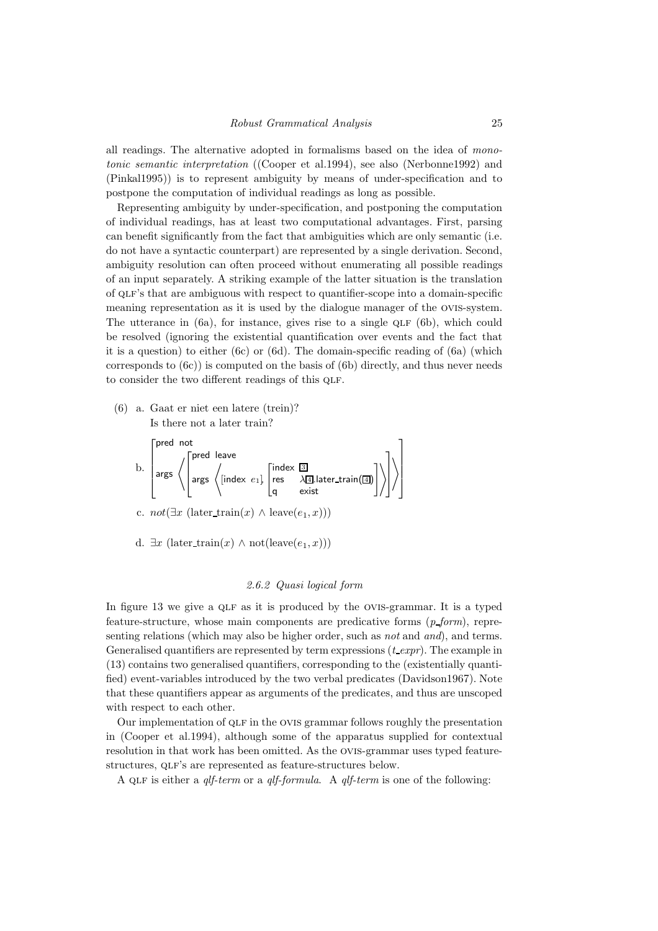all readings. The alternative adopted in formalisms based on the idea of monotonic semantic interpretation ((Cooper et al.1994), see also (Nerbonne1992) and (Pinkal1995)) is to represent ambiguity by means of under-specification and to postpone the computation of individual readings as long as possible.

Representing ambiguity by under-specification, and postponing the computation of individual readings, has at least two computational advantages. First, parsing can benefit significantly from the fact that ambiguities which are only semantic (i.e. do not have a syntactic counterpart) are represented by a single derivation. Second, ambiguity resolution can often proceed without enumerating all possible readings of an input separately. A striking example of the latter situation is the translation of qlf's that are ambiguous with respect to quantifier-scope into a domain-specific meaning representation as it is used by the dialogue manager of the ovis-system. The utterance in  $(6a)$ , for instance, gives rise to a single QLF  $(6b)$ , which could be resolved (ignoring the existential quantification over events and the fact that it is a question) to either  $(6c)$  or  $(6d)$ . The domain-specific reading of  $(6a)$  (which corresponds to  $(6c)$  is computed on the basis of  $(6b)$  directly, and thus never needs to consider the two different readings of this QLF.

(6) a. Gaat er niet een latere (trein)? Is there not a later train?



d.  $\exists x \text{ (later train}(x) \land \text{not}(\text{leave}(e_1, x)))$ 

## 2.6.2 Quasi logical form

In figure 13 we give a QLF as it is produced by the OVIS-grammar. It is a typed feature-structure, whose main components are predicative forms  $(p_{\textit{--}form})$ , representing relations (which may also be higher order, such as *not* and *and*), and terms. Generalised quantifiers are represented by term expressions  $(t \text{-} expr)$ . The example in (13) contains two generalised quantifiers, corresponding to the (existentially quantified) event-variables introduced by the two verbal predicates (Davidson1967). Note that these quantifiers appear as arguments of the predicates, and thus are unscoped with respect to each other.

Our implementation of QLF in the OVIS grammar follows roughly the presentation in (Cooper et al.1994), although some of the apparatus supplied for contextual resolution in that work has been omitted. As the ovis-grammar uses typed featurestructures, QLF's are represented as feature-structures below.

A QLF is either a  $q\ell f$ -term or a  $q\ell f$ -formula. A  $q\ell f$ -term is one of the following: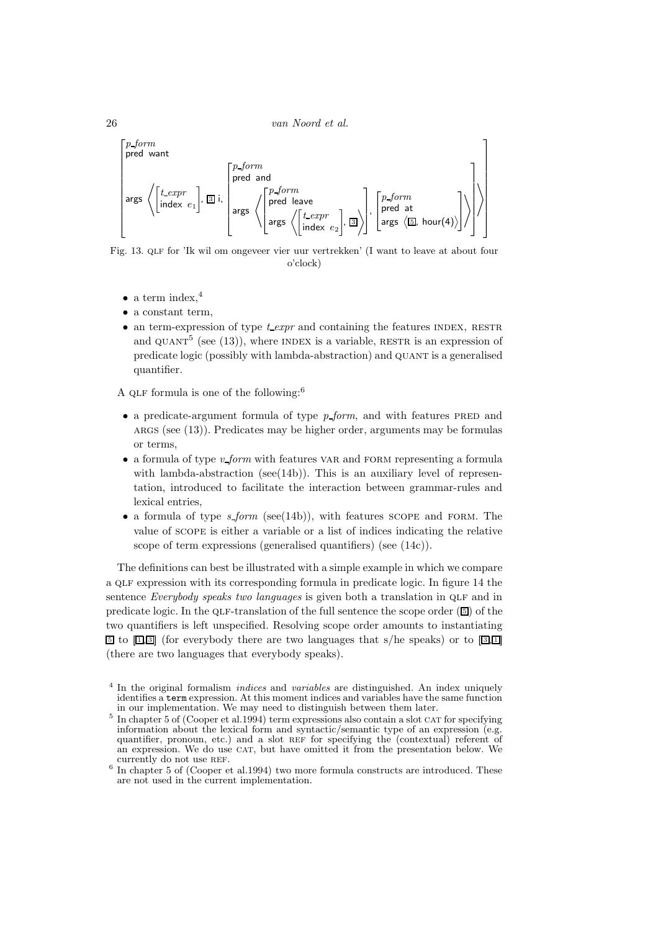$$
\begin{bmatrix} p_{\text{form}} \\ \text{pred want} \\ \text{args } \left\langle \left[ \frac{t_{\text{expr}}}{\text{index } e_1} \right], \overline{\mathbf{B}} \right], \end{bmatrix} \begin{bmatrix} p_{\text{form}} \\ \text{pred and} \\ \text{args } \left\langle \left[ \frac{p_{\text{form}}}{\text{pred } \text{leave}} \right], \overline{\mathbf{B}} \right\rangle \end{bmatrix}, \begin{bmatrix} p_{\text{form}} \\ \text{pred } \text{have} \\ \text{args } \left\langle \left[ \frac{t_{\text{expr}}}{\text{index } e_2} \right], \overline{\mathbf{B}} \right\rangle \end{bmatrix}, \begin{bmatrix} p_{\text{form}} \\ \text{pred } \text{at} \\ \text{args } \left\langle \overline{\mathbf{B}}, \text{hour}(4) \right\rangle \end{bmatrix} \right\rangle
$$

Fig. 13. QLF for 'Ik wil om ongeveer vier uur vertrekken' (I want to leave at about four o'clock)

- $\bullet\,$ a term index. $^4$
- a constant term,
- $\bullet$  an term-expression of type  $t$ -expr and containing the features INDEX, RESTR and QUANT<sup>5</sup> (see (13)), where INDEX is a variable, RESTR is an expression of predicate logic (possibly with lambda-abstraction) and quant is a generalised quantifier.

A QLF formula is one of the following:  $6$ 

- a predicate-argument formula of type  $p$  form, and with features PRED and  $ARGS$  (see  $(13)$ ). Predicates may be higher order, arguments may be formulas or terms,
- a formula of type  $v_{\text{form}}$  with features VAR and FORM representing a formula with lambda-abstraction (see(14b)). This is an auxiliary level of representation, introduced to facilitate the interaction between grammar-rules and lexical entries,
- a formula of type  $s\text{-}form$  (see(14b)), with features scope and FORM. The value of scope is either a variable or a list of indices indicating the relative scope of term expressions (generalised quantifiers) (see (14c)).

The definitions can best be illustrated with a simple example in which we compare a qlf expression with its corresponding formula in predicate logic. In figure 14 the sentence Everybody speaks two languages is given both a translation in QLF and in predicate logic. In the QLF-translation of the full sentence the scope order  $(\overline{5})$  of the two quantifiers is left unspecified. Resolving scope order amounts to instantiating  $\boxed{5}$  to  $\boxed{1}$ ,  $\boxed{3}$  (for everybody there are two languages that s/he speaks) or to  $\boxed{3}$ ,  $\boxed{1}$ (there are two languages that everybody speaks).

<sup>&</sup>lt;sup>4</sup> In the original formalism *indices* and *variables* are distinguished. An index uniquely identifies a term expression. At this moment indices and variables have the same function in our implementation. We may need to distinguish between them later.

<sup>&</sup>lt;sup>5</sup> In chapter 5 of (Cooper et al.1994) term expressions also contain a slot CAT for specifying information about the lexical form and syntactic/semantic type of an expression (e.g. quantifier, pronoun, etc.) and a slot REF for specifying the (contextual) referent of an expression. We do use cat, but have omitted it from the presentation below. We currently do not use REF.

<sup>6</sup> In chapter 5 of (Cooper et al.1994) two more formula constructs are introduced. These are not used in the current implementation.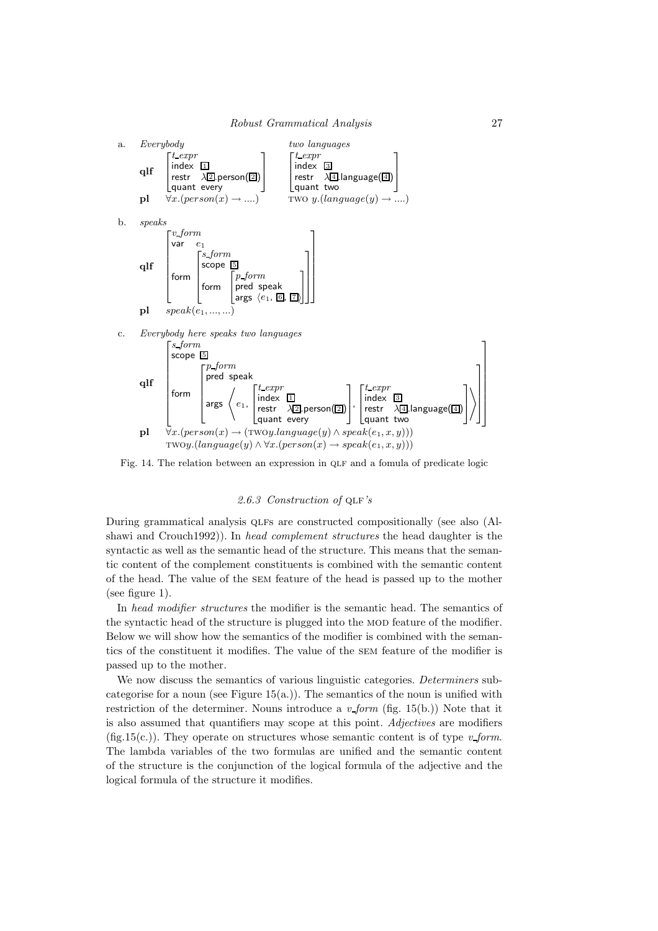

Fig. 14. The relation between an expression in QLF and a fomula of predicate logic

#### 2.6.3 Construction of  $QLF's$

During grammatical analysis QLFs are constructed compositionally (see also (Alshawi and Crouch1992)). In head complement structures the head daughter is the syntactic as well as the semantic head of the structure. This means that the semantic content of the complement constituents is combined with the semantic content of the head. The value of the sem feature of the head is passed up to the mother (see figure 1).

In head modifier structures the modifier is the semantic head. The semantics of the syntactic head of the structure is plugged into the MOD feature of the modifier. Below we will show how the semantics of the modifier is combined with the semantics of the constituent it modifies. The value of the sem feature of the modifier is passed up to the mother.

We now discuss the semantics of various linguistic categories. Determiners subcategorise for a noun (see Figure  $15(a)$ ). The semantics of the noun is unified with restriction of the determiner. Nouns introduce a  $v_{\text{form}}$  (fig. 15(b.)) Note that it is also assumed that quantifiers may scope at this point. Adjectives are modifiers (fig.15(c.)). They operate on structures whose semantic content is of type  $v_{\text{form}}$ . The lambda variables of the two formulas are unified and the semantic content of the structure is the conjunction of the logical formula of the adjective and the logical formula of the structure it modifies.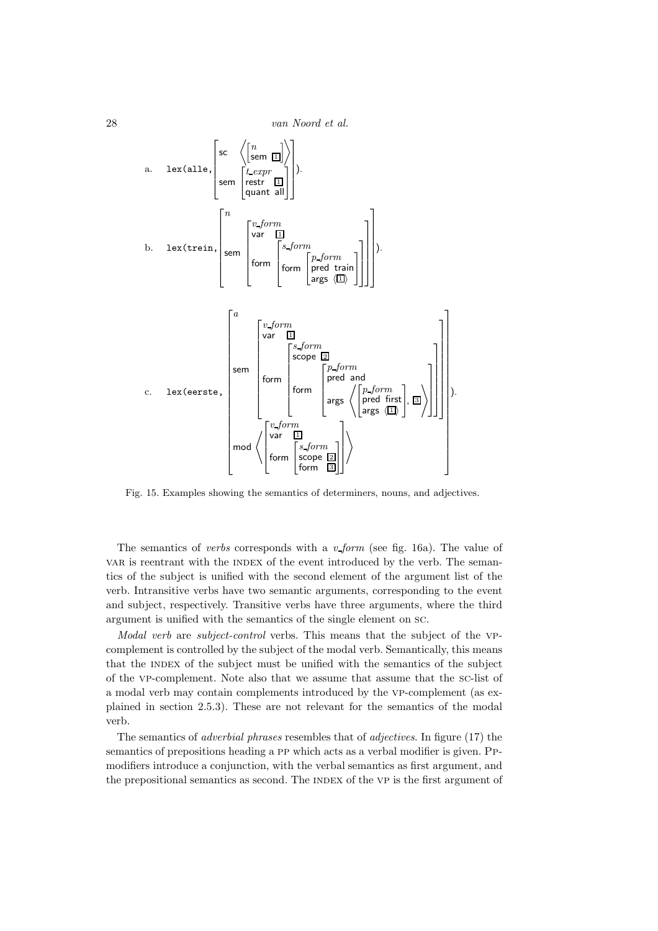

Fig. 15. Examples showing the semantics of determiners, nouns, and adjectives.

The semantics of *verbs* corresponds with a  $v_1$  (see fig. 16a). The value of var is reentrant with the INDEX of the event introduced by the verb. The semantics of the subject is unified with the second element of the argument list of the verb. Intransitive verbs have two semantic arguments, corresponding to the event and subject, respectively. Transitive verbs have three arguments, where the third argument is unified with the semantics of the single element on sc.

Modal verb are *subject-control* verbs. This means that the subject of the vPcomplement is controlled by the subject of the modal verb. Semantically, this means that the index of the subject must be unified with the semantics of the subject of the vp-complement. Note also that we assume that assume that the sc-list of a modal verb may contain complements introduced by the vp-complement (as explained in section 2.5.3). These are not relevant for the semantics of the modal verb.

The semantics of adverbial phrases resembles that of adjectives. In figure (17) the semantics of prepositions heading a pp which acts as a verbal modifier is given. Ppmodifiers introduce a conjunction, with the verbal semantics as first argument, and the prepositional semantics as second. The INDEX of the VP is the first argument of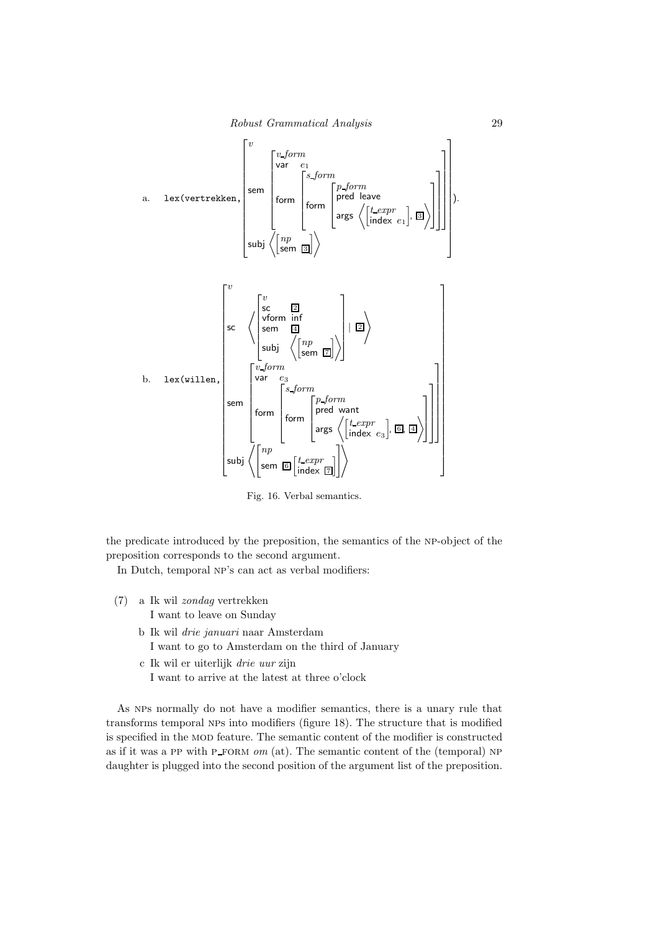

Fig. 16. Verbal semantics.

the predicate introduced by the preposition, the semantics of the np-object of the preposition corresponds to the second argument.

In Dutch, temporal NP's can act as verbal modifiers:

- (7) a Ik wil zondag vertrekken I want to leave on Sunday
	- b Ik wil drie januari naar Amsterdam I want to go to Amsterdam on the third of January
	- c Ik wil er uiterlijk drie uur zijn I want to arrive at the latest at three o'clock

As NPs normally do not have a modifier semantics, there is a unary rule that transforms temporal nps into modifiers (figure 18). The structure that is modified is specified in the MOD feature. The semantic content of the modifier is constructed as if it was a PP with P\_FORM  $om$  (at). The semantic content of the (temporal) NP daughter is plugged into the second position of the argument list of the preposition.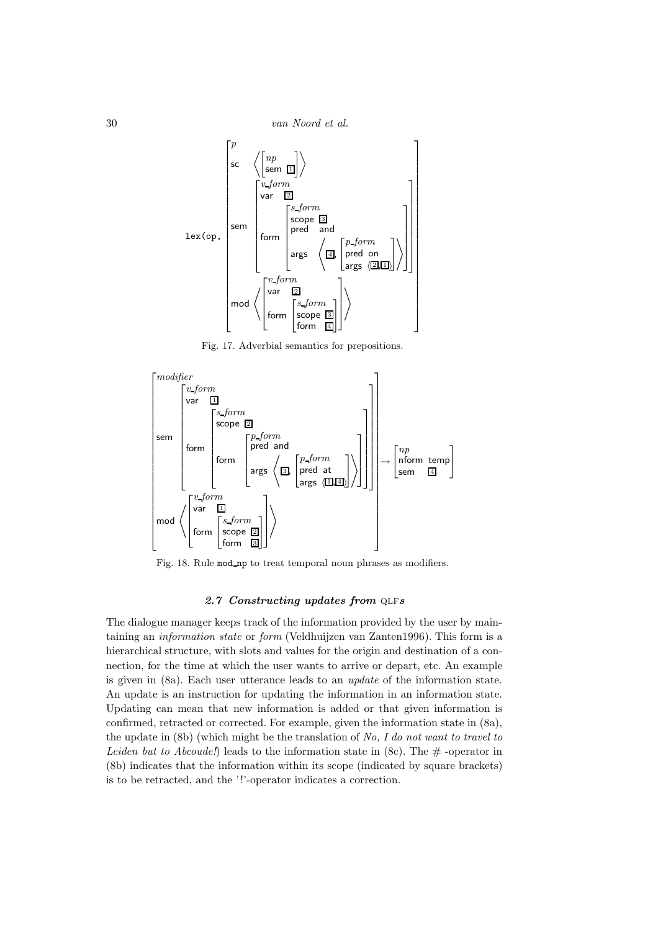

Fig. 17. Adverbial semantics for prepositions.



Fig. 18. Rule mod\_np to treat temporal noun phrases as modifiers.

# 2.7 Constructing updates from  $Q_{LFS}$

The dialogue manager keeps track of the information provided by the user by maintaining an information state or form (Veldhuijzen van Zanten1996). This form is a hierarchical structure, with slots and values for the origin and destination of a connection, for the time at which the user wants to arrive or depart, etc. An example is given in (8a). Each user utterance leads to an update of the information state. An update is an instruction for updating the information in an information state. Updating can mean that new information is added or that given information is confirmed, retracted or corrected. For example, given the information state in (8a), the update in  $(8b)$  (which might be the translation of No, I do not want to travel to Leiden but to Abcoude!) leads to the information state in (8c). The  $\#$ -operator in (8b) indicates that the information within its scope (indicated by square brackets) is to be retracted, and the '!'-operator indicates a correction.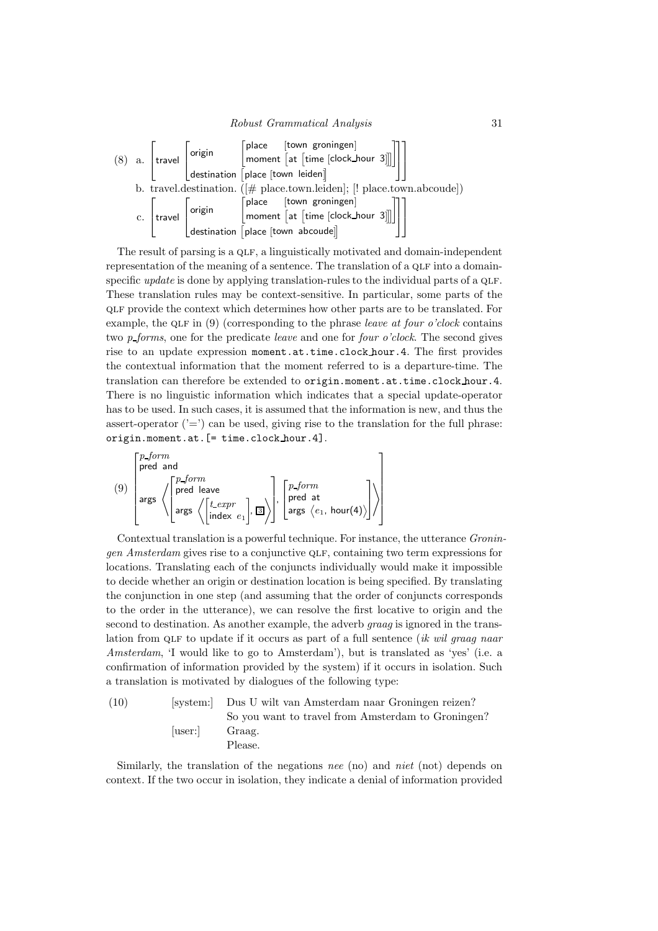Robust Grammatical Analysis 31

$$
(8) \ a. \ \left[\text{travel} \ \left[\text{origin} \ \left[\text{plane} \ \left[\text{tume [clock-hour 3]}\right]\right]\right]\right] \\ \ b. \ \ \text{travel} \ \text{destination} \ \left[\text{place [town leiden]}\right] \\ \ c. \ \left[\text{travel} \ \left[\text{origin} \ \left[\text{plane [town leiden]}\right]\right]\right] \\ \ c. \ \left[\text{travel} \ \left[\text{origin} \ \left[\text{plane [town groningen]}\right]\right]\right] \\ \ \text{destination} \ \left[\text{place [town groningen]}\right] \\ \ \text{destination} \ \left[\text{place [town abcoude]}\right] \end{matrix}\right]\right]
$$

The result of parsing is a QLF, a linguistically motivated and domain-independent representation of the meaning of a sentence. The translation of a QLF into a domainspecific  $update$  is done by applying translation-rules to the individual parts of a QLF. These translation rules may be context-sensitive. In particular, some parts of the qlf provide the context which determines how other parts are to be translated. For example, the QLF in  $(9)$  (corresponding to the phrase *leave at four o'clock* contains two p forms, one for the predicate leave and one for four o'clock. The second gives rise to an update expression moment.at.time.clock hour.4. The first provides the contextual information that the moment referred to is a departure-time. The translation can therefore be extended to origin.moment.at.time.clock hour.4. There is no linguistic information which indicates that a special update-operator has to be used. In such cases, it is assumed that the information is new, and thus the assert-operator  $(2)$  can be used, giving rise to the translation for the full phrase: origin.moment.at.[= time.clock hour.4].

$$
(9) \begin{bmatrix} p\_form \\ pred and \\ args \end{bmatrix} \left\langle \begin{bmatrix} p\_form \\ pred \text{ leave} \\ args \end{bmatrix} \left\langle \begin{bmatrix} t\_expr \\ \text{index } e_1 \end{bmatrix}, \begin{bmatrix} s\_form \\ s\_args \end{bmatrix} \right\rangle \right\rangle
$$

Contextual translation is a powerful technique. For instance, the utterance Groningen Amsterdam gives rise to a conjunctive QLF, containing two term expressions for locations. Translating each of the conjuncts individually would make it impossible to decide whether an origin or destination location is being specified. By translating the conjunction in one step (and assuming that the order of conjuncts corresponds to the order in the utterance), we can resolve the first locative to origin and the second to destination. As another example, the adverb graag is ignored in the translation from QLF to update if it occurs as part of a full sentence (ik wil graag naar Amsterdam, 'I would like to go to Amsterdam'), but is translated as 'yes' (i.e. a confirmation of information provided by the system) if it occurs in isolation. Such a translation is motivated by dialogues of the following type:

(10) [system:] Dus U wilt van Amsterdam naar Groningen reizen? So you want to travel from Amsterdam to Groningen? [user:] Graag. Please.

Similarly, the translation of the negations nee (no) and niet (not) depends on context. If the two occur in isolation, they indicate a denial of information provided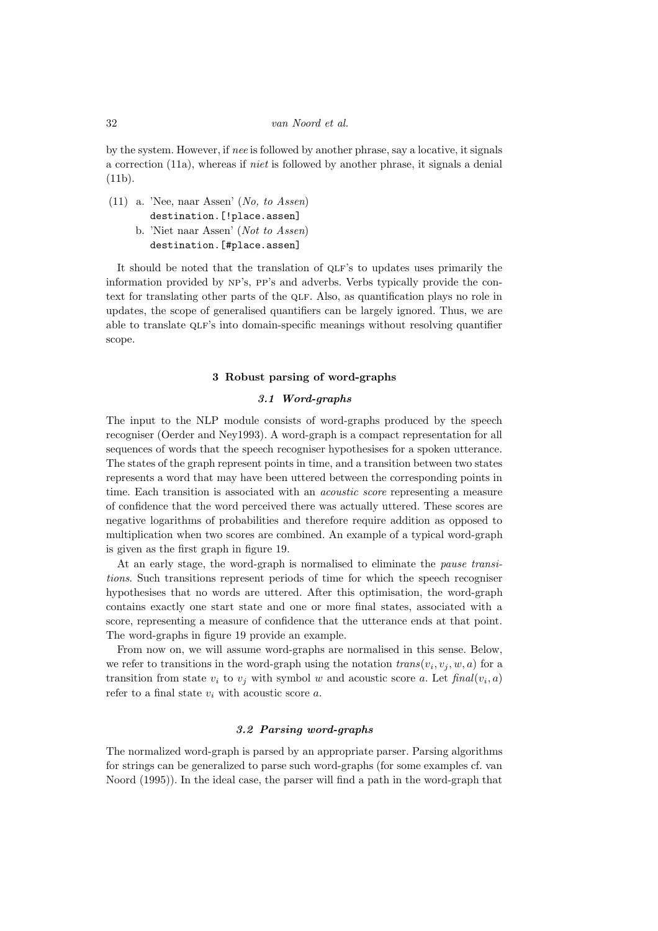by the system. However, if nee is followed by another phrase, say a locative, it signals a correction (11a), whereas if niet is followed by another phrase, it signals a denial (11b).

(11) a. 'Nee, naar Assen' (No, to Assen) destination.[!place.assen] b. 'Niet naar Assen' (Not to Assen) destination.[#place.assen]

It should be noted that the translation of QLF's to updates uses primarily the information provided by np's, pp's and adverbs. Verbs typically provide the context for translating other parts of the qlf. Also, as quantification plays no role in updates, the scope of generalised quantifiers can be largely ignored. Thus, we are able to translate QLF's into domain-specific meanings without resolving quantifier scope.

#### 3 Robust parsing of word-graphs

## 3.1 Word-graphs

The input to the NLP module consists of word-graphs produced by the speech recogniser (Oerder and Ney1993). A word-graph is a compact representation for all sequences of words that the speech recogniser hypothesises for a spoken utterance. The states of the graph represent points in time, and a transition between two states represents a word that may have been uttered between the corresponding points in time. Each transition is associated with an acoustic score representing a measure of confidence that the word perceived there was actually uttered. These scores are negative logarithms of probabilities and therefore require addition as opposed to multiplication when two scores are combined. An example of a typical word-graph is given as the first graph in figure 19.

At an early stage, the word-graph is normalised to eliminate the pause transitions. Such transitions represent periods of time for which the speech recogniser hypothesises that no words are uttered. After this optimisation, the word-graph contains exactly one start state and one or more final states, associated with a score, representing a measure of confidence that the utterance ends at that point. The word-graphs in figure 19 provide an example.

From now on, we will assume word-graphs are normalised in this sense. Below, we refer to transitions in the word-graph using the notation  $trans(v_i, v_j, w, a)$  for a transition from state  $v_i$  to  $v_j$  with symbol w and acoustic score a. Let  $\text{final}(v_i, a)$ refer to a final state  $v_i$  with acoustic score  $a$ .

#### 3.2 Parsing word-graphs

The normalized word-graph is parsed by an appropriate parser. Parsing algorithms for strings can be generalized to parse such word-graphs (for some examples cf. van Noord (1995)). In the ideal case, the parser will find a path in the word-graph that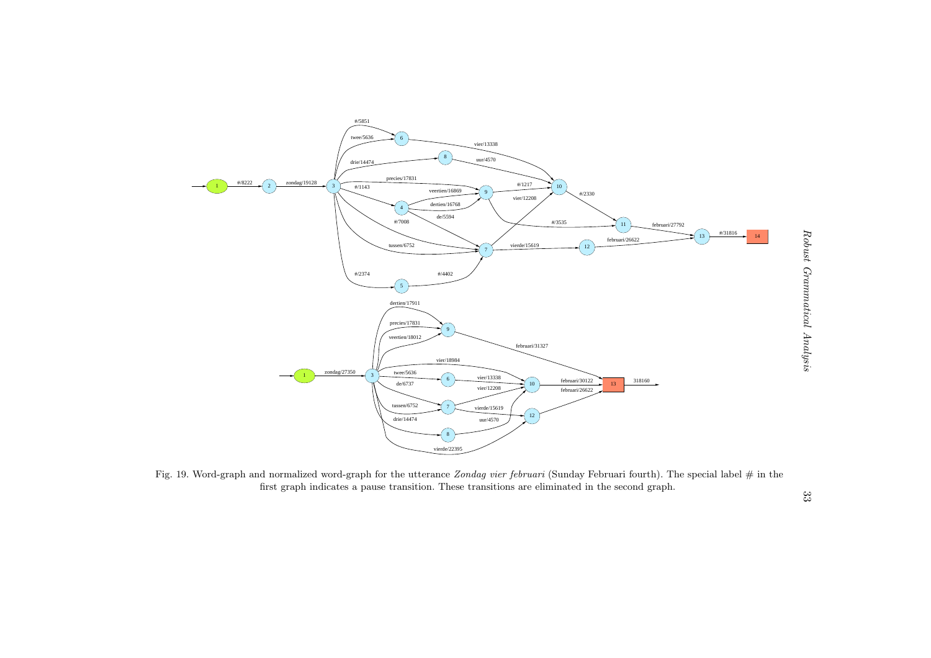

Fig. 19. Word-graph and normalized word-graph for the utterance Zondag vier februari (Sunday Februari fourth). The special label  $\#$  in the first graph indicates <sup>a</sup> pause transition. These transitions are eliminated in the second graph.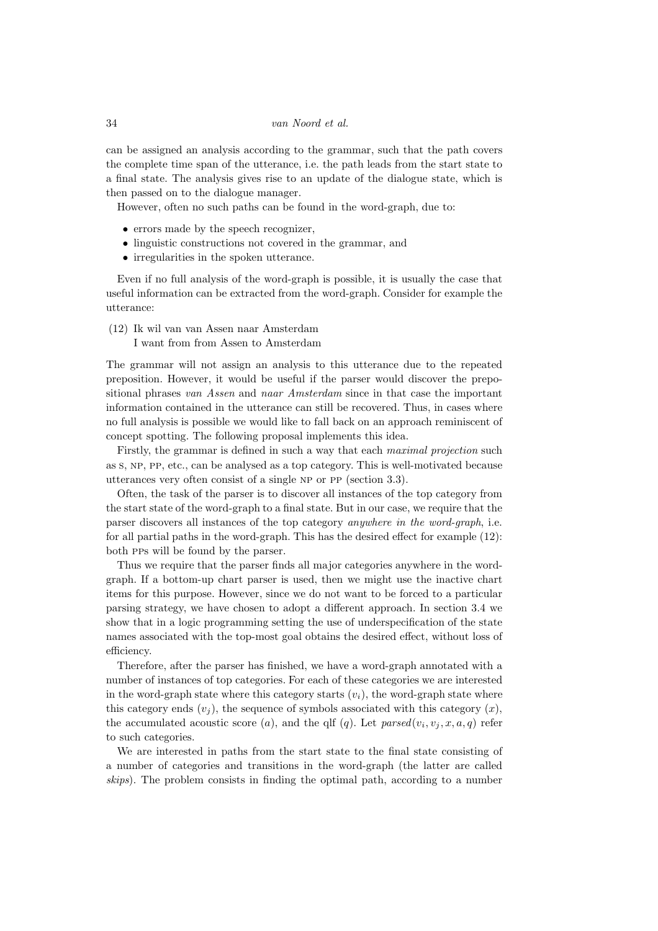can be assigned an analysis according to the grammar, such that the path covers the complete time span of the utterance, i.e. the path leads from the start state to a final state. The analysis gives rise to an update of the dialogue state, which is then passed on to the dialogue manager.

However, often no such paths can be found in the word-graph, due to:

- errors made by the speech recognizer,
- linguistic constructions not covered in the grammar, and
- irregularities in the spoken utterance.

Even if no full analysis of the word-graph is possible, it is usually the case that useful information can be extracted from the word-graph. Consider for example the utterance:

(12) Ik wil van van Assen naar Amsterdam I want from from Assen to Amsterdam

The grammar will not assign an analysis to this utterance due to the repeated preposition. However, it would be useful if the parser would discover the prepositional phrases van Assen and naar Amsterdam since in that case the important information contained in the utterance can still be recovered. Thus, in cases where no full analysis is possible we would like to fall back on an approach reminiscent of concept spotting. The following proposal implements this idea.

Firstly, the grammar is defined in such a way that each *maximal projection* such as s, np, pp, etc., can be analysed as a top category. This is well-motivated because utterances very often consist of a single np or pp (section 3.3).

Often, the task of the parser is to discover all instances of the top category from the start state of the word-graph to a final state. But in our case, we require that the parser discovers all instances of the top category anywhere in the word-graph, i.e. for all partial paths in the word-graph. This has the desired effect for example (12): both pps will be found by the parser.

Thus we require that the parser finds all major categories anywhere in the wordgraph. If a bottom-up chart parser is used, then we might use the inactive chart items for this purpose. However, since we do not want to be forced to a particular parsing strategy, we have chosen to adopt a different approach. In section 3.4 we show that in a logic programming setting the use of underspecification of the state names associated with the top-most goal obtains the desired effect, without loss of efficiency.

Therefore, after the parser has finished, we have a word-graph annotated with a number of instances of top categories. For each of these categories we are interested in the word-graph state where this category starts  $(v_i)$ , the word-graph state where this category ends  $(v_i)$ , the sequence of symbols associated with this category  $(x)$ , the accumulated acoustic score (*a*), and the qlf (*q*). Let  $\text{parsed}(v_i, v_j, x, a, q)$  refer to such categories.

We are interested in paths from the start state to the final state consisting of a number of categories and transitions in the word-graph (the latter are called skips). The problem consists in finding the optimal path, according to a number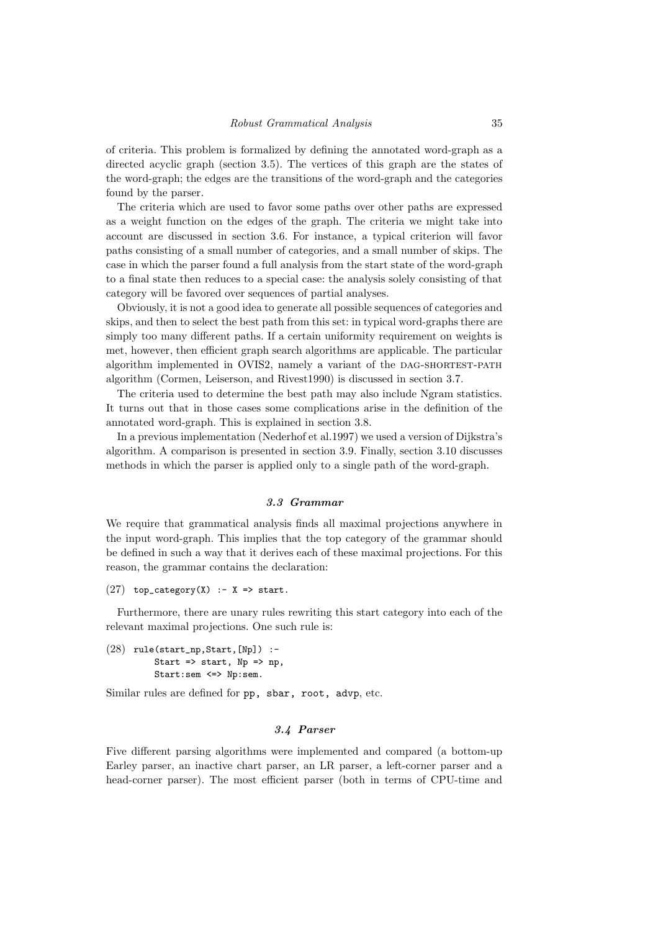of criteria. This problem is formalized by defining the annotated word-graph as a directed acyclic graph (section 3.5). The vertices of this graph are the states of the word-graph; the edges are the transitions of the word-graph and the categories found by the parser.

The criteria which are used to favor some paths over other paths are expressed as a weight function on the edges of the graph. The criteria we might take into account are discussed in section 3.6. For instance, a typical criterion will favor paths consisting of a small number of categories, and a small number of skips. The case in which the parser found a full analysis from the start state of the word-graph to a final state then reduces to a special case: the analysis solely consisting of that category will be favored over sequences of partial analyses.

Obviously, it is not a good idea to generate all possible sequences of categories and skips, and then to select the best path from this set: in typical word-graphs there are simply too many different paths. If a certain uniformity requirement on weights is met, however, then efficient graph search algorithms are applicable. The particular algorithm implemented in OVIS2, namely a variant of the DAG-SHORTEST-PATH algorithm (Cormen, Leiserson, and Rivest1990) is discussed in section 3.7.

The criteria used to determine the best path may also include Ngram statistics. It turns out that in those cases some complications arise in the definition of the annotated word-graph. This is explained in section 3.8.

In a previous implementation (Nederhof et al.1997) we used a version of Dijkstra's algorithm. A comparison is presented in section 3.9. Finally, section 3.10 discusses methods in which the parser is applied only to a single path of the word-graph.

## 3.3 Grammar

We require that grammatical analysis finds all maximal projections anywhere in the input word-graph. This implies that the top category of the grammar should be defined in such a way that it derives each of these maximal projections. For this reason, the grammar contains the declaration:

```
(27) top_category(X) :- X => start.
```
Furthermore, there are unary rules rewriting this start category into each of the relevant maximal projections. One such rule is:

```
(28) rule(start_np,Start,[Np]) :-
         Start => start, Np => np,
         Start:sem <=> Np:sem.
```
Similar rules are defined for pp, sbar, root, advp, etc.

## 3.4 Parser

Five different parsing algorithms were implemented and compared (a bottom-up Earley parser, an inactive chart parser, an LR parser, a left-corner parser and a head-corner parser). The most efficient parser (both in terms of CPU-time and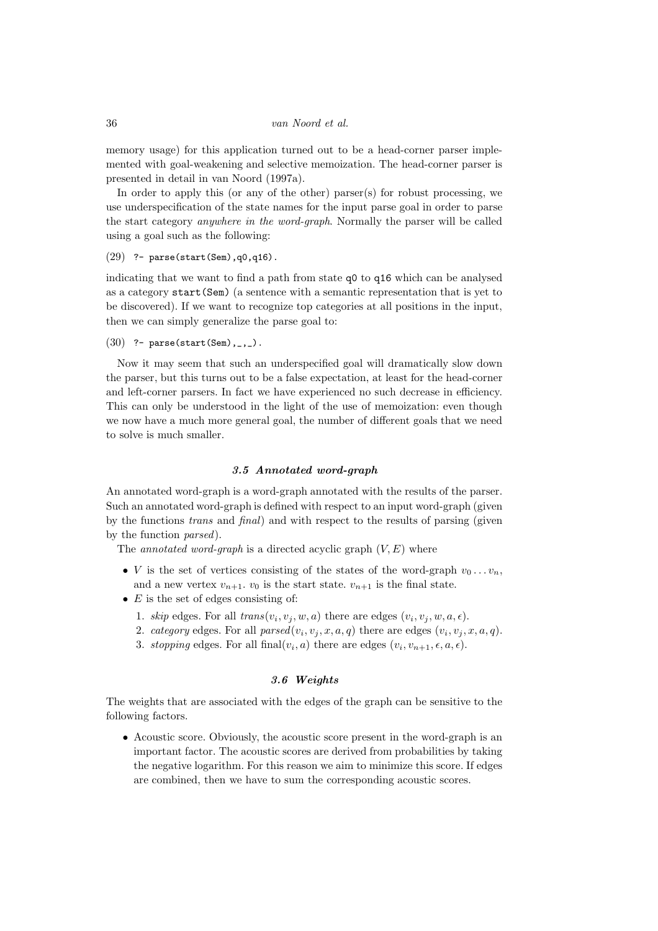memory usage) for this application turned out to be a head-corner parser implemented with goal-weakening and selective memoization. The head-corner parser is presented in detail in van Noord (1997a).

In order to apply this (or any of the other) parser(s) for robust processing, we use underspecification of the state names for the input parse goal in order to parse the start category anywhere in the word-graph. Normally the parser will be called using a goal such as the following:

```
(29) ?- parse(start(Sem),q0,q16).
```
indicating that we want to find a path from state q0 to q16 which can be analysed as a category start(Sem) (a sentence with a semantic representation that is yet to be discovered). If we want to recognize top categories at all positions in the input, then we can simply generalize the parse goal to:

```
(30) ?- parse(start(Sem), _, _).
```
Now it may seem that such an underspecified goal will dramatically slow down the parser, but this turns out to be a false expectation, at least for the head-corner and left-corner parsers. In fact we have experienced no such decrease in efficiency. This can only be understood in the light of the use of memoization: even though we now have a much more general goal, the number of different goals that we need to solve is much smaller.

#### 3.5 Annotated word-graph

An annotated word-graph is a word-graph annotated with the results of the parser. Such an annotated word-graph is defined with respect to an input word-graph (given by the functions trans and final) and with respect to the results of parsing (given by the function parsed).

The *annotated word-graph* is a directed acyclic graph  $(V, E)$  where

- *V* is the set of vertices consisting of the states of the word-graph  $v_0 \dots v_n$ , and a new vertex  $v_{n+1}$ .  $v_0$  is the start state.  $v_{n+1}$  is the final state.
- $E$  is the set of edges consisting of:
	- 1. skip edges. For all  $trans(v_i, v_j, w, a)$  there are edges  $(v_i, v_j, w, a, \epsilon)$ .
	- 2. category edges. For all  $\text{parsed}(v_i, v_j, x, a, q)$  there are edges  $(v_i, v_j, x, a, q)$ .
	- 3. stopping edges. For all final $(v_i, a)$  there are edges  $(v_i, v_{n+1}, \epsilon, a, \epsilon)$ .

## 3.6 Weights

The weights that are associated with the edges of the graph can be sensitive to the following factors.

• Acoustic score. Obviously, the acoustic score present in the word-graph is an important factor. The acoustic scores are derived from probabilities by taking the negative logarithm. For this reason we aim to minimize this score. If edges are combined, then we have to sum the corresponding acoustic scores.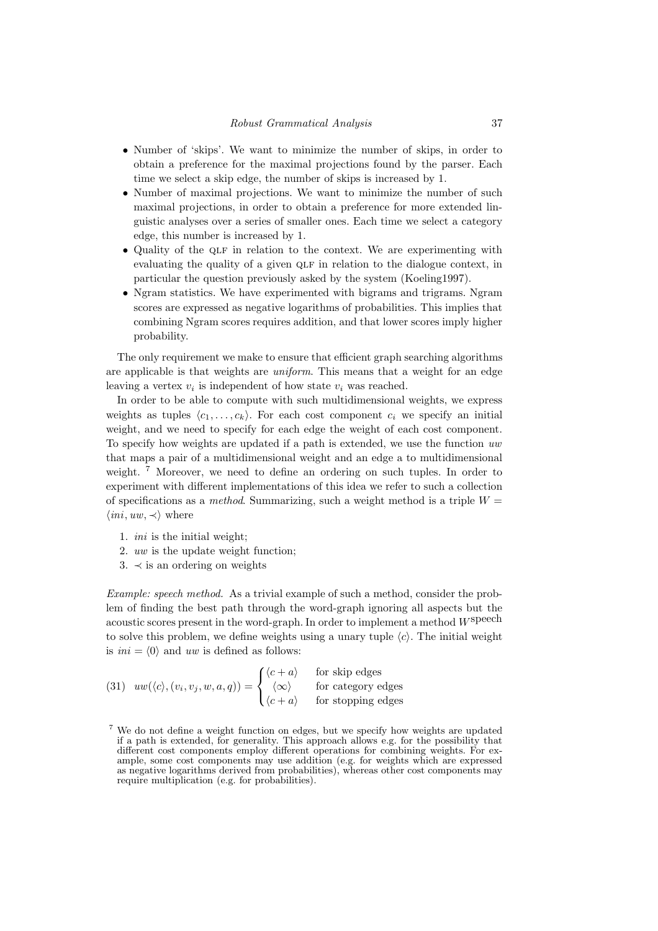- Number of 'skips'. We want to minimize the number of skips, in order to obtain a preference for the maximal projections found by the parser. Each time we select a skip edge, the number of skips is increased by 1.
- Number of maximal projections. We want to minimize the number of such maximal projections, in order to obtain a preference for more extended linguistic analyses over a series of smaller ones. Each time we select a category edge, this number is increased by 1.
- Quality of the QLF in relation to the context. We are experimenting with evaluating the quality of a given QLF in relation to the dialogue context, in particular the question previously asked by the system (Koeling1997).
- Ngram statistics. We have experimented with bigrams and trigrams. Ngram scores are expressed as negative logarithms of probabilities. This implies that combining Ngram scores requires addition, and that lower scores imply higher probability.

The only requirement we make to ensure that efficient graph searching algorithms are applicable is that weights are uniform. This means that a weight for an edge leaving a vertex  $v_i$  is independent of how state  $v_i$  was reached.

In order to be able to compute with such multidimensional weights, we express weights as tuples  $\langle c_1, \ldots, c_k \rangle$ . For each cost component  $c_i$  we specify an initial weight, and we need to specify for each edge the weight of each cost component. To specify how weights are updated if a path is extended, we use the function uw that maps a pair of a multidimensional weight and an edge a to multidimensional weight.<sup>7</sup> Moreover, we need to define an ordering on such tuples. In order to experiment with different implementations of this idea we refer to such a collection of specifications as a *method*. Summarizing, such a weight method is a triple  $W =$  $\langle ini, uw, \prec \rangle$  where

- 1. ini is the initial weight;
- 2. uw is the update weight function;
- 3.  $\prec$  is an ordering on weights

Example: speech method. As a trivial example of such a method, consider the problem of finding the best path through the word-graph ignoring all aspects but the acoustic scores present in the word-graph. In order to implement a method  $W^{\text{speed}}$ to solve this problem, we define weights using a unary tuple  $\langle c \rangle$ . The initial weight is  $ini = \langle 0 \rangle$  and uw is defined as follows:

(31) 
$$
uw(\langle c \rangle, (v_i, v_j, w, a, q)) = \begin{cases} \langle c + a \rangle & \text{for skip edges} \\ \langle \infty \rangle & \text{for category edges} \\ \langle c + a \rangle & \text{for stopping edges} \end{cases}
$$

<sup>7</sup> We do not define a weight function on edges, but we specify how weights are updated if a path is extended, for generality. This approach allows e.g. for the possibility that different cost components employ different operations for combining weights. For example, some cost components may use addition (e.g. for weights which are expressed as negative logarithms derived from probabilities), whereas other cost components may require multiplication (e.g. for probabilities).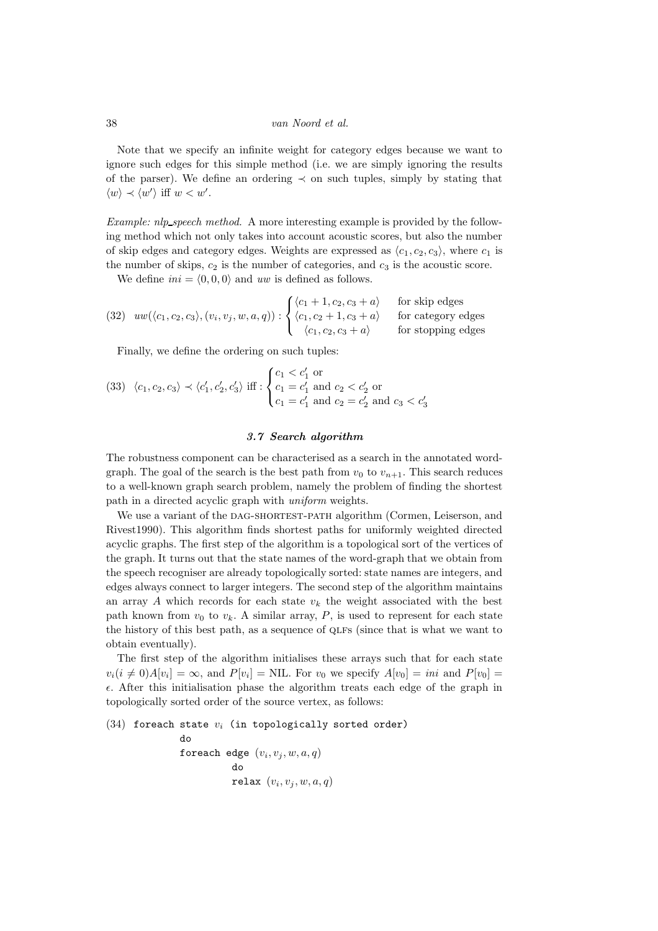Note that we specify an infinite weight for category edges because we want to ignore such edges for this simple method (i.e. we are simply ignoring the results of the parser). We define an ordering  $\prec$  on such tuples, simply by stating that  $\langle w \rangle \prec \langle w' \rangle$  iff  $w < w'$ .

Example: nlp\_speech method. A more interesting example is provided by the following method which not only takes into account acoustic scores, but also the number of skip edges and category edges. Weights are expressed as  $\langle c_1, c_2, c_3 \rangle$ , where  $c_1$  is the number of skips,  $c_2$  is the number of categories, and  $c_3$  is the acoustic score.

We define  $ini = (0, 0, 0)$  and uw is defined as follows.

(32) 
$$
uw(\langle c_1, c_2, c_3 \rangle, (v_i, v_j, w, a, q)) : \begin{cases} \langle c_1 + 1, c_2, c_3 + a \rangle & \text{for skip edges} \\ \langle c_1, c_2 + 1, c_3 + a \rangle & \text{for category edges} \\ \langle c_1, c_2, c_3 + a \rangle & \text{for stopping edges} \end{cases}
$$

Finally, we define the ordering on such tuples:

(33) 
$$
\langle c_1, c_2, c_3 \rangle \prec \langle c'_1, c'_2, c'_3 \rangle
$$
 iff :  $\begin{cases} c_1 < c'_1 \text{ or} \\ c_1 = c'_1 \text{ and } c_2 < c'_2 \text{ or} \\ c_1 = c'_1 \text{ and } c_2 = c'_2 \text{ and } c_3 < c'_3 \end{cases}$ 

#### 3.7 Search algorithm

The robustness component can be characterised as a search in the annotated wordgraph. The goal of the search is the best path from  $v_0$  to  $v_{n+1}$ . This search reduces to a well-known graph search problem, namely the problem of finding the shortest path in a directed acyclic graph with uniform weights.

We use a variant of the DAG-SHORTEST-PATH algorithm (Cormen, Leiserson, and Rivest1990). This algorithm finds shortest paths for uniformly weighted directed acyclic graphs. The first step of the algorithm is a topological sort of the vertices of the graph. It turns out that the state names of the word-graph that we obtain from the speech recogniser are already topologically sorted: state names are integers, and edges always connect to larger integers. The second step of the algorithm maintains an array A which records for each state  $v_k$  the weight associated with the best path known from  $v_0$  to  $v_k$ . A similar array, P, is used to represent for each state the history of this best path, as a sequence of qlfs (since that is what we want to obtain eventually).

The first step of the algorithm initialises these arrays such that for each state  $v_i(i \neq 0)A[v_i] = \infty$ , and  $P[v_i] = \text{NIL}$ . For  $v_0$  we specify  $A[v_0] = ini$  and  $P[v_0] =$  $\epsilon$ . After this initialisation phase the algorithm treats each edge of the graph in topologically sorted order of the source vertex, as follows:

 $(34)$  foreach state  $v_i$  (in topologically sorted order) do foreach edge  $(v_i, v_j, w, a, q)$ do  $\mathtt{relax}\;(v_i,v_j,w,a,q)$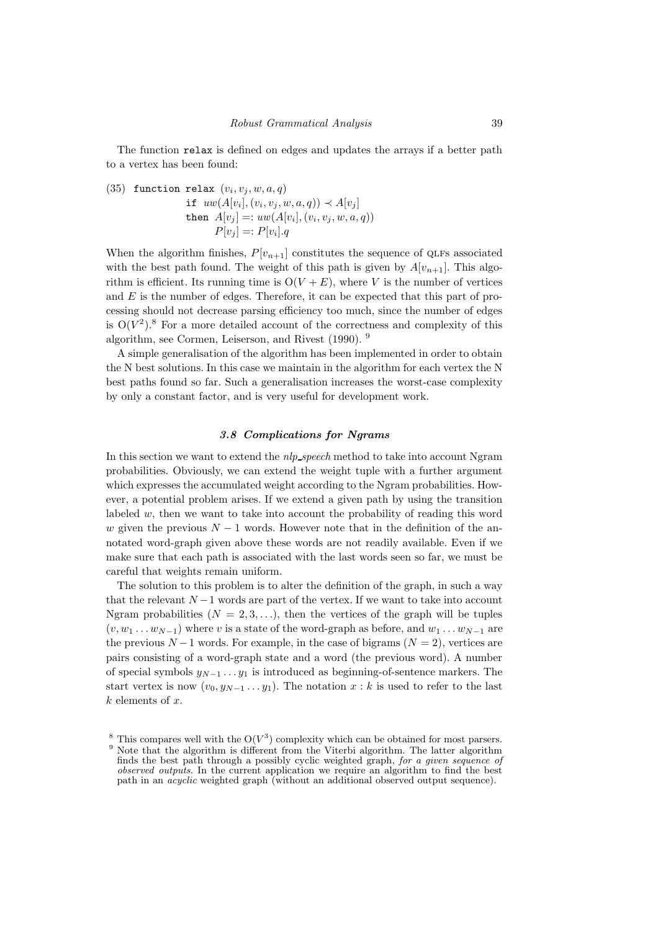The function relax is defined on edges and updates the arrays if a better path to a vertex has been found:

(35) function relax 
$$
(v_i, v_j, w, a, q)
$$
 if  $uw(A[v_i], (v_i, v_j, w, a, q)) \prec A[v_j]$  then  $A[v_j] =: uw(A[v_i], (v_i, v_j, w, a, q))$  $P[v_j] =: P[v_i].q$ 

When the algorithm finishes,  $P[v_{n+1}]$  constitutes the sequence of QLFs associated with the best path found. The weight of this path is given by  $A[v_{n+1}]$ . This algorithm is efficient. Its running time is  $O(V + E)$ , where V is the number of vertices and  $E$  is the number of edges. Therefore, it can be expected that this part of processing should not decrease parsing efficiency too much, since the number of edges is  $O(V^2)$ .<sup>8</sup> For a more detailed account of the correctness and complexity of this algorithm, see Cormen, Leiserson, and Rivest (1990). <sup>9</sup>

A simple generalisation of the algorithm has been implemented in order to obtain the N best solutions. In this case we maintain in the algorithm for each vertex the N best paths found so far. Such a generalisation increases the worst-case complexity by only a constant factor, and is very useful for development work.

## 3.8 Complications for Ngrams

In this section we want to extend the *nlp\_speech* method to take into account Ngram probabilities. Obviously, we can extend the weight tuple with a further argument which expresses the accumulated weight according to the Ngram probabilities. However, a potential problem arises. If we extend a given path by using the transition labeled w, then we want to take into account the probability of reading this word w given the previous  $N-1$  words. However note that in the definition of the annotated word-graph given above these words are not readily available. Even if we make sure that each path is associated with the last words seen so far, we must be careful that weights remain uniform.

The solution to this problem is to alter the definition of the graph, in such a way that the relevant  $N-1$  words are part of the vertex. If we want to take into account Ngram probabilities  $(N = 2, 3, \ldots)$ , then the vertices of the graph will be tuples  $(v, w_1 \ldots w_{N-1})$  where v is a state of the word-graph as before, and  $w_1 \ldots w_{N-1}$  are the previous  $N-1$  words. For example, in the case of bigrams  $(N = 2)$ , vertices are pairs consisting of a word-graph state and a word (the previous word). A number of special symbols  $y_{N-1} \ldots y_1$  is introduced as beginning-of-sentence markers. The start vertex is now  $(v_0, y_{N-1} \ldots y_1)$ . The notation  $x : k$  is used to refer to the last  $k$  elements of  $x$ .

<sup>&</sup>lt;sup>8</sup> This compares well with the  $O(V^3)$  complexity which can be obtained for most parsers. <sup>9</sup> Note that the algorithm is different from the Viterbi algorithm. The latter algorithm finds the best path through a possibly cyclic weighted graph, for a given sequence of observed outputs. In the current application we require an algorithm to find the best path in an acyclic weighted graph (without an additional observed output sequence).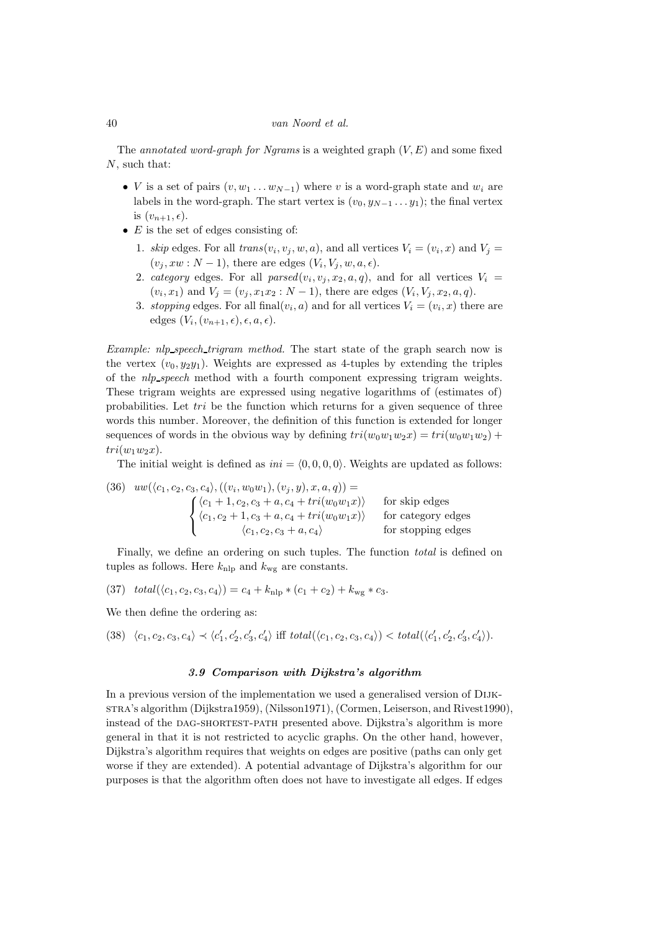The annotated word-graph for Ngrams is a weighted graph  $(V, E)$  and some fixed N, such that:

- V is a set of pairs  $(v, w_1 \ldots w_{N-1})$  where v is a word-graph state and  $w_i$  are labels in the word-graph. The start vertex is  $(v_0, y_{N-1}, \ldots, y_1)$ ; the final vertex is  $(v_{n+1}, \epsilon)$ .
- $E$  is the set of edges consisting of:
	- 1. skip edges. For all  $trans(v_i, v_j, w, a)$ , and all vertices  $V_i = (v_i, x)$  and  $V_j =$  $(v_j, xw : N-1)$ , there are edges  $(V_i, V_j, w, a, \epsilon)$ .
	- 2. category edges. For all  $\text{parsed}(v_i, v_j, x_2, a, q)$ , and for all vertices  $V_i =$  $(v_i, x_1)$  and  $V_j = (v_j, x_1 x_2 : N - 1)$ , there are edges  $(V_i, V_j, x_2, a, q)$ .
	- 3. stopping edges. For all final $(v_i, a)$  and for all vertices  $V_i = (v_i, x)$  there are edges  $(V_i, (v_{n+1}, \epsilon), \epsilon, a, \epsilon)$ .

Example: nlp\_speech\_trigram method. The start state of the graph search now is the vertex  $(v_0, y_2y_1)$ . Weights are expressed as 4-tuples by extending the triples of the nlp speech method with a fourth component expressing trigram weights. These trigram weights are expressed using negative logarithms of (estimates of) probabilities. Let  $tri$  be the function which returns for a given sequence of three words this number. Moreover, the definition of this function is extended for longer sequences of words in the obvious way by defining  $tri(w_0w_1w_2x) = tri(w_0w_1w_2) +$  $tri(w_1w_2x)$ .

The initial weight is defined as  $ini = (0, 0, 0, 0)$ . Weights are updated as follows:

(36) 
$$
uw(\langle c_1, c_2, c_3, c_4 \rangle, ((v_i, w_0w_1), (v_j, y), x, a, q)) =
$$
  

$$
\begin{cases} \langle c_1 + 1, c_2, c_3 + a, c_4 + tri(w_0w_1x) \rangle & \text{for skip edges} \\ \langle c_1, c_2 + 1, c_3 + a, c_4 + tri(w_0w_1x) \rangle & \text{for category edges} \\ \langle c_1, c_2, c_3 + a, c_4 \rangle & \text{for stopping edges} \end{cases}
$$

Finally, we define an ordering on such tuples. The function total is defined on tuples as follows. Here  $k_{\text{nlp}}$  and  $k_{\text{wg}}$  are constants.

(37)  $total(\langle c_1, c_2, c_3, c_4 \rangle) = c_4 + k_{\text{nlp}} * (c_1 + c_2) + k_{\text{wg}} * c_3.$ 

We then define the ordering as:

 $\langle c_1, c_2, c_3, c_4 \rangle \prec \langle c_1'$  $'_{1},c'_{2}$  $c_2', c_3'$  $c_3', c_4'$  $\langle \phi_4 \rangle$  iff total( $\langle c_1, c_2, c_3, c_4 \rangle$ ) < total( $\langle c_1 \rangle$  $c'_{1}, c'_{2}$  $c_2', c_3'$  $'_{3}, c'_{4}$ (38)  $\langle c_1, c_2, c_3, c_4 \rangle \prec \langle c'_1, c'_2, c'_3, c'_4 \rangle$  iff  $total(\langle c_1, c_2, c_3, c_4 \rangle) < total(\langle c'_1, c'_2, c'_3, c'_4 \rangle)$ .

## 3.9 Comparison with Dijkstra's algorithm

In a previous version of the implementation we used a generalised version of Dijkstra's algorithm (Dijkstra1959), (Nilsson1971), (Cormen, Leiserson, and Rivest1990), instead of the DAG-SHORTEST-PATH presented above. Dijkstra's algorithm is more general in that it is not restricted to acyclic graphs. On the other hand, however, Dijkstra's algorithm requires that weights on edges are positive (paths can only get worse if they are extended). A potential advantage of Dijkstra's algorithm for our purposes is that the algorithm often does not have to investigate all edges. If edges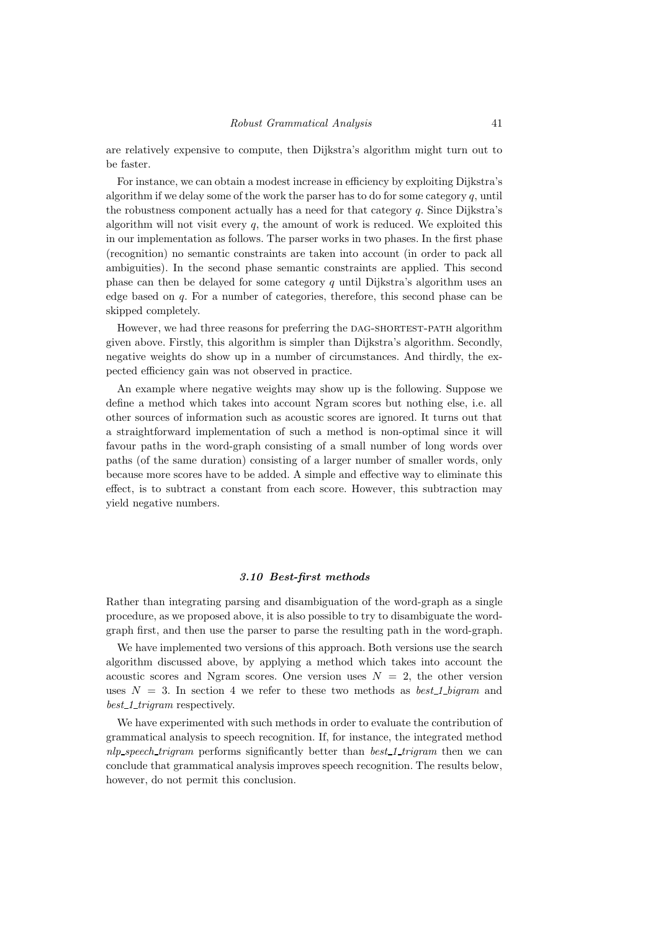are relatively expensive to compute, then Dijkstra's algorithm might turn out to be faster.

For instance, we can obtain a modest increase in efficiency by exploiting Dijkstra's algorithm if we delay some of the work the parser has to do for some category  $q$ , until the robustness component actually has a need for that category  $q$ . Since Dijkstra's algorithm will not visit every  $q$ , the amount of work is reduced. We exploited this in our implementation as follows. The parser works in two phases. In the first phase (recognition) no semantic constraints are taken into account (in order to pack all ambiguities). In the second phase semantic constraints are applied. This second phase can then be delayed for some category q until Dijkstra's algorithm uses an edge based on  $q$ . For a number of categories, therefore, this second phase can be skipped completely.

However, we had three reasons for preferring the DAG-SHORTEST-PATH algorithm given above. Firstly, this algorithm is simpler than Dijkstra's algorithm. Secondly, negative weights do show up in a number of circumstances. And thirdly, the expected efficiency gain was not observed in practice.

An example where negative weights may show up is the following. Suppose we define a method which takes into account Ngram scores but nothing else, i.e. all other sources of information such as acoustic scores are ignored. It turns out that a straightforward implementation of such a method is non-optimal since it will favour paths in the word-graph consisting of a small number of long words over paths (of the same duration) consisting of a larger number of smaller words, only because more scores have to be added. A simple and effective way to eliminate this effect, is to subtract a constant from each score. However, this subtraction may yield negative numbers.

#### 3.10 Best-first methods

Rather than integrating parsing and disambiguation of the word-graph as a single procedure, as we proposed above, it is also possible to try to disambiguate the wordgraph first, and then use the parser to parse the resulting path in the word-graph.

We have implemented two versions of this approach. Both versions use the search algorithm discussed above, by applying a method which takes into account the acoustic scores and Ngram scores. One version uses  $N = 2$ , the other version uses  $N = 3$ . In section 4 we refer to these two methods as  $best\_1$  bigram and best 1 trigram respectively.

We have experimented with such methods in order to evaluate the contribution of grammatical analysis to speech recognition. If, for instance, the integrated method  $nlp\_speed$ , trigram performs significantly better than  $best\_1\_trigram$  then we can conclude that grammatical analysis improves speech recognition. The results below, however, do not permit this conclusion.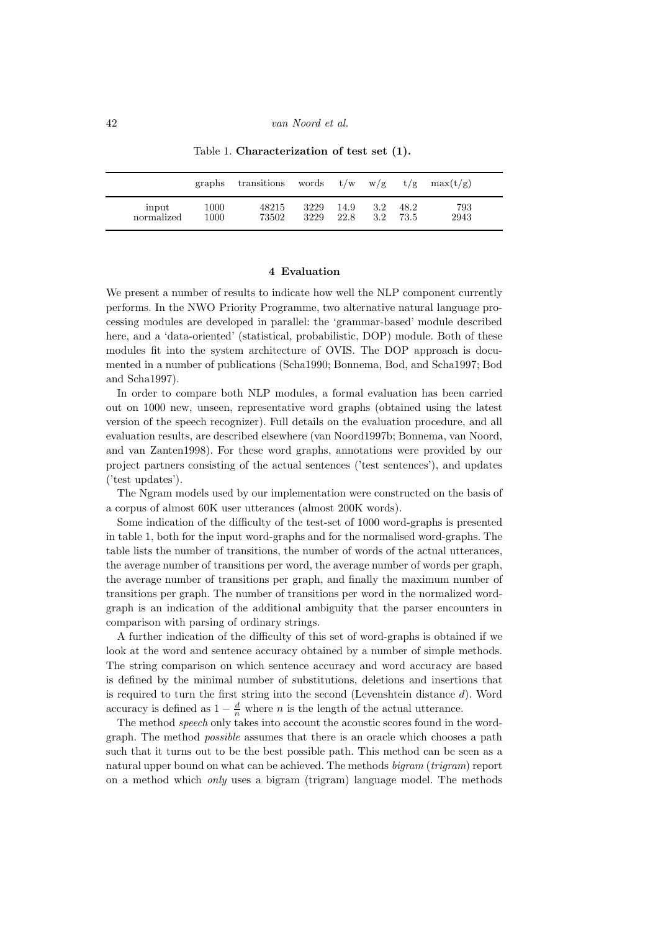Table 1. Characterization of test set (1).

|            | graphs | transitions words $t/w$ w/g |      |      |     | t/g  | max(t/g) |  |
|------------|--------|-----------------------------|------|------|-----|------|----------|--|
| input      | 1000   | 48215                       | 3229 | 14.9 | 3.2 | 48.2 | 793      |  |
| normalized | 1000   | 73502                       | 3229 | 22.8 | 3.2 | 73.5 | 2943     |  |

#### 4 Evaluation

We present a number of results to indicate how well the NLP component currently performs. In the NWO Priority Programme, two alternative natural language processing modules are developed in parallel: the 'grammar-based' module described here, and a 'data-oriented' (statistical, probabilistic, DOP) module. Both of these modules fit into the system architecture of OVIS. The DOP approach is documented in a number of publications (Scha1990; Bonnema, Bod, and Scha1997; Bod and Scha1997).

In order to compare both NLP modules, a formal evaluation has been carried out on 1000 new, unseen, representative word graphs (obtained using the latest version of the speech recognizer). Full details on the evaluation procedure, and all evaluation results, are described elsewhere (van Noord1997b; Bonnema, van Noord, and van Zanten1998). For these word graphs, annotations were provided by our project partners consisting of the actual sentences ('test sentences'), and updates ('test updates').

The Ngram models used by our implementation were constructed on the basis of a corpus of almost 60K user utterances (almost 200K words).

Some indication of the difficulty of the test-set of 1000 word-graphs is presented in table 1, both for the input word-graphs and for the normalised word-graphs. The table lists the number of transitions, the number of words of the actual utterances, the average number of transitions per word, the average number of words per graph, the average number of transitions per graph, and finally the maximum number of transitions per graph. The number of transitions per word in the normalized wordgraph is an indication of the additional ambiguity that the parser encounters in comparison with parsing of ordinary strings.

A further indication of the difficulty of this set of word-graphs is obtained if we look at the word and sentence accuracy obtained by a number of simple methods. The string comparison on which sentence accuracy and word accuracy are based is defined by the minimal number of substitutions, deletions and insertions that is required to turn the first string into the second (Levenshtein distance d). Word accuracy is defined as  $1 - \frac{d}{n}$  where *n* is the length of the actual utterance.

The method speech only takes into account the acoustic scores found in the wordgraph. The method possible assumes that there is an oracle which chooses a path such that it turns out to be the best possible path. This method can be seen as a natural upper bound on what can be achieved. The methods bigram (trigram) report on a method which only uses a bigram (trigram) language model. The methods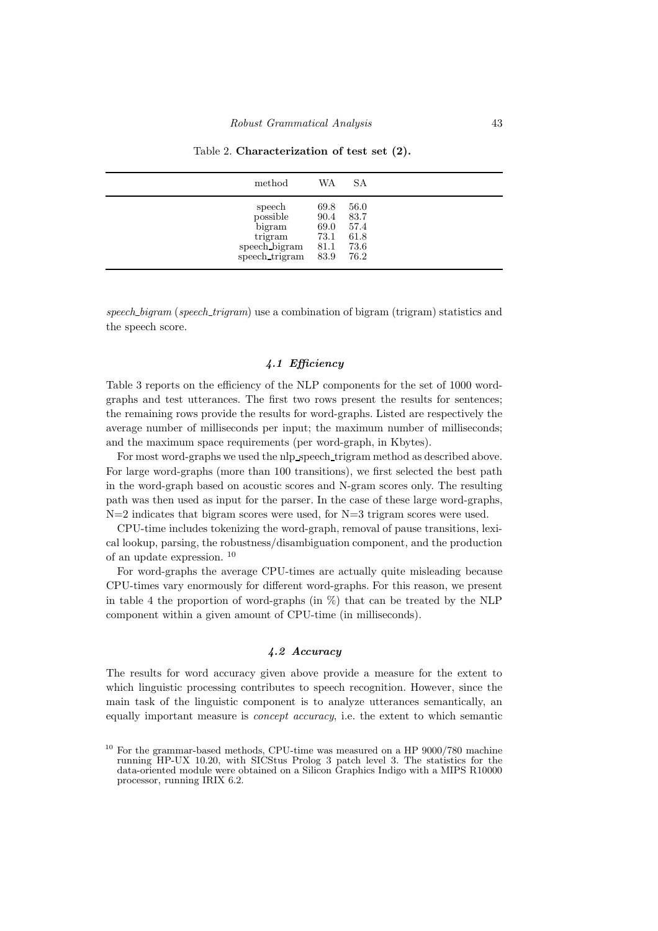Table 2. Characterization of test set (2).

| method                                                                                        | WA                   | <b>SA</b>                                 |
|-----------------------------------------------------------------------------------------------|----------------------|-------------------------------------------|
| speech<br>possible<br>bigram<br>trigram<br>speech bigram $81.1$ 73.6<br>speech trigram $83.9$ | 69.8<br>69.0<br>73.1 | 56.0<br>90.4 83.7<br>57.4<br>61.8<br>76.2 |

speech bigram (speech trigram) use a combination of bigram (trigram) statistics and the speech score.

## 4.1 Efficiency

Table 3 reports on the efficiency of the NLP components for the set of 1000 wordgraphs and test utterances. The first two rows present the results for sentences; the remaining rows provide the results for word-graphs. Listed are respectively the average number of milliseconds per input; the maximum number of milliseconds; and the maximum space requirements (per word-graph, in Kbytes).

For most word-graphs we used the nlp speech trigram method as described above. For large word-graphs (more than 100 transitions), we first selected the best path in the word-graph based on acoustic scores and N-gram scores only. The resulting path was then used as input for the parser. In the case of these large word-graphs, N=2 indicates that bigram scores were used, for N=3 trigram scores were used.

CPU-time includes tokenizing the word-graph, removal of pause transitions, lexical lookup, parsing, the robustness/disambiguation component, and the production of an update expression. <sup>10</sup>

For word-graphs the average CPU-times are actually quite misleading because CPU-times vary enormously for different word-graphs. For this reason, we present in table 4 the proportion of word-graphs (in  $\%$ ) that can be treated by the NLP component within a given amount of CPU-time (in milliseconds).

# 4.2 Accuracy

The results for word accuracy given above provide a measure for the extent to which linguistic processing contributes to speech recognition. However, since the main task of the linguistic component is to analyze utterances semantically, an equally important measure is concept accuracy, i.e. the extent to which semantic

<sup>&</sup>lt;sup>10</sup> For the grammar-based methods, CPU-time was measured on a HP 9000/780 machine running HP-UX 10.20, with SICStus Prolog 3 patch level 3. The statistics for the data-oriented module were obtained on a Silicon Graphics Indigo with a MIPS R10000 processor, running IRIX 6.2.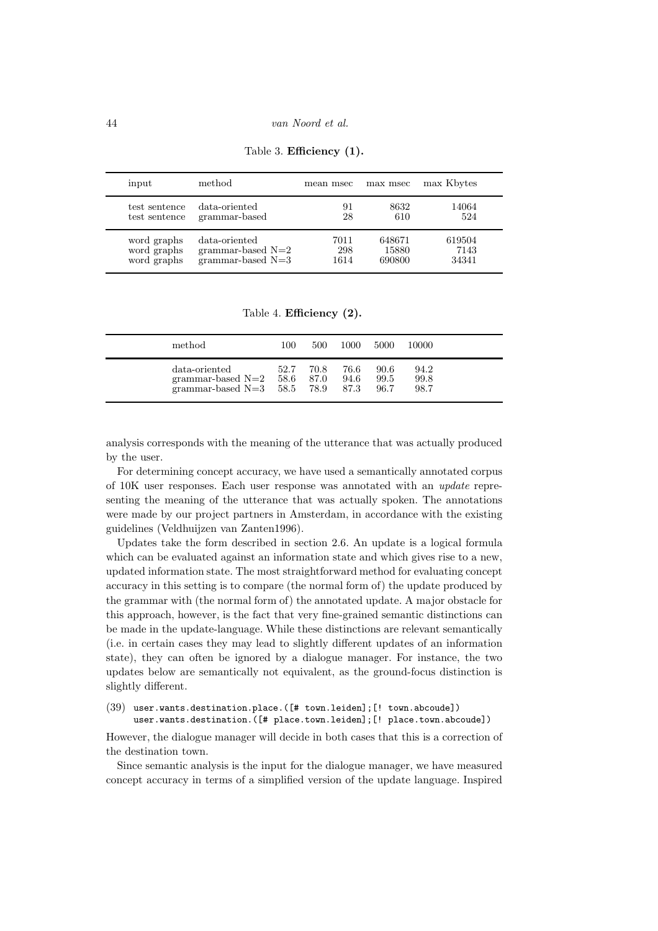Table 3. Efficiency (1).

| input         | method              | mean msec | max msec | max Kbytes |  |
|---------------|---------------------|-----------|----------|------------|--|
| test sentence | data-oriented       | 91        | 8632     | 14064      |  |
| test sentence | grammar-based       | 28        | 610      | 524        |  |
| word graphs   | data-oriented       | 7011      | 648671   | 619504     |  |
| word graphs   | grammar-based $N=2$ | 298       | 15880    | 7143       |  |
| word graphs   | grammar-based $N=3$ | 1614      | 690800   | 34341      |  |

Table 4. Efficiency (2).

| method                                                                          | 100  | 500  | 1000                   | 5000                 | 10000                |
|---------------------------------------------------------------------------------|------|------|------------------------|----------------------|----------------------|
| data-oriented<br>grammar-based $N=2$ 58.6 87.0<br>grammar-based $N=3$ 58.5 78.9 | 52.7 | 70.8 | 76.6<br>94.6<br>- 87.3 | 90.6<br>99.5<br>96.7 | 94.2<br>99.8<br>98.7 |

analysis corresponds with the meaning of the utterance that was actually produced by the user.

For determining concept accuracy, we have used a semantically annotated corpus of 10K user responses. Each user response was annotated with an update representing the meaning of the utterance that was actually spoken. The annotations were made by our project partners in Amsterdam, in accordance with the existing guidelines (Veldhuijzen van Zanten1996).

Updates take the form described in section 2.6. An update is a logical formula which can be evaluated against an information state and which gives rise to a new, updated information state. The most straightforward method for evaluating concept accuracy in this setting is to compare (the normal form of) the update produced by the grammar with (the normal form of) the annotated update. A major obstacle for this approach, however, is the fact that very fine-grained semantic distinctions can be made in the update-language. While these distinctions are relevant semantically (i.e. in certain cases they may lead to slightly different updates of an information state), they can often be ignored by a dialogue manager. For instance, the two updates below are semantically not equivalent, as the ground-focus distinction is slightly different.

```
(39) user.wants.destination.place.([# town.leiden];[! town.abcoude])
     user.wants.destination.([# place.town.leiden];[! place.town.abcoude])
```
However, the dialogue manager will decide in both cases that this is a correction of the destination town.

Since semantic analysis is the input for the dialogue manager, we have measured concept accuracy in terms of a simplified version of the update language. Inspired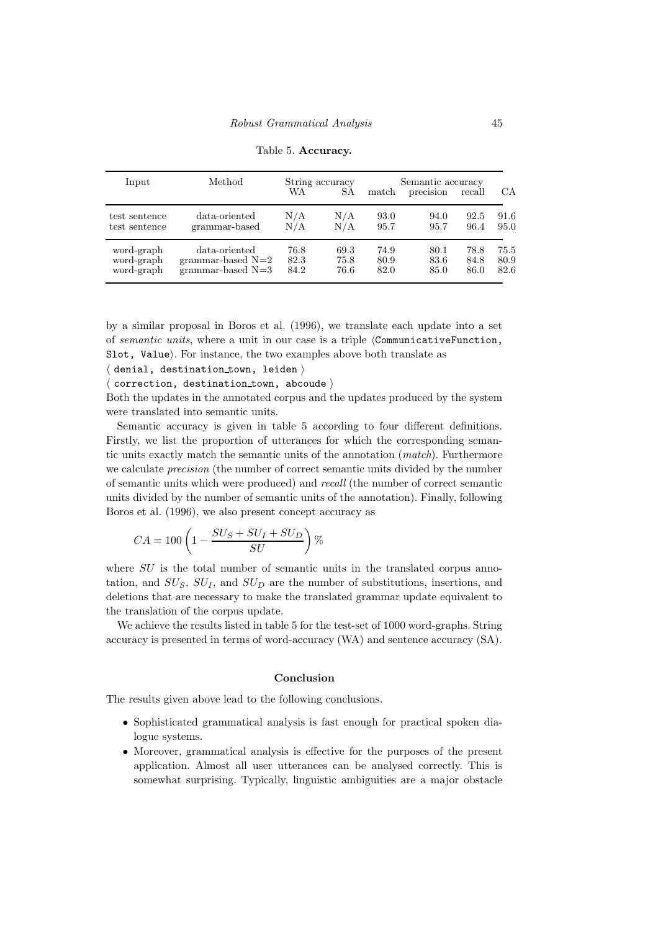| Input         | Method              | String accuracy<br>SА<br>WA |      | Semantic accuracy<br>$\operatorname{match}$ | CА   |      |      |
|---------------|---------------------|-----------------------------|------|---------------------------------------------|------|------|------|
| test sentence | data-oriented       | N/A                         | N/A  | 93.0                                        | 94.0 | 92.5 | 91.6 |
| test sentence | grammar-based       | N/A                         | N/A  | 95.7                                        | 95.7 | 96.4 | 95.0 |
| word-graph    | data-oriented       | 76.8                        | 69.3 | 74.9                                        | 80.1 | 78.8 | 75.5 |
| word-graph    | grammar-based $N=2$ | 82.3                        | 75.8 | 80.9                                        | 83.6 | 84.8 | 80.9 |
| word-graph    | grammar-based $N=3$ | 84.2                        | 76.6 | 82.0                                        | 85.0 | 86.0 | 82.6 |

Table 5. Accuracy.

by a similar proposal in Boros et al. (1996), we translate each update into a set of semantic units, where a unit in our case is a triple  $\Diamond$ CommunicativeFunction, Slot, Value). For instance, the two examples above both translate as

 $\langle$  denial, destination town, leiden  $\rangle$ 

 $\langle$  correction, destination town, abcoude  $\rangle$ 

Both the updates in the annotated corpus and the updates produced by the system were translated into semantic units.

Semantic accuracy is given in table 5 according to four different definitions. Firstly, we list the proportion of utterances for which the corresponding semantic units exactly match the semantic units of the annotation (match). Furthermore we calculate *precision* (the number of correct semantic units divided by the number of semantic units which were produced) and recall (the number of correct semantic units divided by the number of semantic units of the annotation). Finally, following Boros et al. (1996), we also present concept accuracy as

$$
CA = 100\left(1-\frac{SU_S+SU_I+SU_D}{SU}\right)\%
$$

where  $SU$  is the total number of semantic units in the translated corpus annotation, and  $SU<sub>S</sub>$ ,  $SU<sub>I</sub>$ , and  $SU<sub>D</sub>$  are the number of substitutions, insertions, and deletions that are necessary to make the translated grammar update equivalent to the translation of the corpus update.

We achieve the results listed in table 5 for the test-set of 1000 word-graphs. String accuracy is presented in terms of word-accuracy (WA) and sentence accuracy (SA).

## Conclusion

The results given above lead to the following conclusions.

- Sophisticated grammatical analysis is fast enough for practical spoken dialogue systems.
- Moreover, grammatical analysis is effective for the purposes of the present application. Almost all user utterances can be analysed correctly. This is somewhat surprising. Typically, linguistic ambiguities are a major obstacle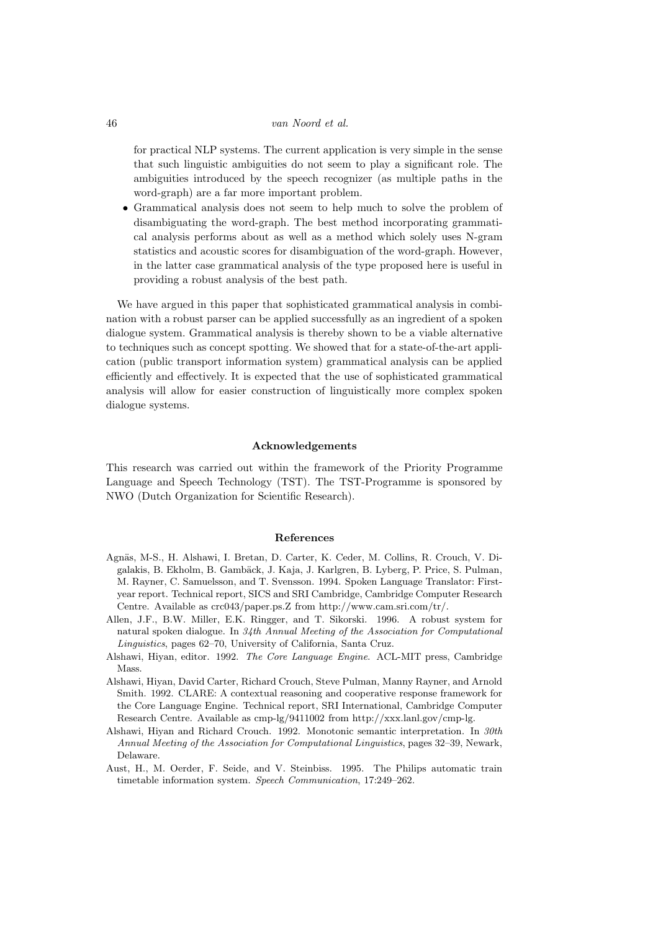for practical NLP systems. The current application is very simple in the sense that such linguistic ambiguities do not seem to play a significant role. The ambiguities introduced by the speech recognizer (as multiple paths in the word-graph) are a far more important problem.

• Grammatical analysis does not seem to help much to solve the problem of disambiguating the word-graph. The best method incorporating grammatical analysis performs about as well as a method which solely uses N-gram statistics and acoustic scores for disambiguation of the word-graph. However, in the latter case grammatical analysis of the type proposed here is useful in providing a robust analysis of the best path.

We have argued in this paper that sophisticated grammatical analysis in combination with a robust parser can be applied successfully as an ingredient of a spoken dialogue system. Grammatical analysis is thereby shown to be a viable alternative to techniques such as concept spotting. We showed that for a state-of-the-art application (public transport information system) grammatical analysis can be applied efficiently and effectively. It is expected that the use of sophisticated grammatical analysis will allow for easier construction of linguistically more complex spoken dialogue systems.

#### Acknowledgements

This research was carried out within the framework of the Priority Programme Language and Speech Technology (TST). The TST-Programme is sponsored by NWO (Dutch Organization for Scientific Research).

## References

- Agnäs, M-S., H. Alshawi, I. Bretan, D. Carter, K. Ceder, M. Collins, R. Crouch, V. Digalakis, B. Ekholm, B. Gambäck, J. Kaja, J. Karlgren, B. Lyberg, P. Price, S. Pulman, M. Rayner, C. Samuelsson, and T. Svensson. 1994. Spoken Language Translator: Firstyear report. Technical report, SICS and SRI Cambridge, Cambridge Computer Research Centre. Available as crc043/paper.ps.Z from http://www.cam.sri.com/tr/.
- Allen, J.F., B.W. Miller, E.K. Ringger, and T. Sikorski. 1996. A robust system for natural spoken dialogue. In 34th Annual Meeting of the Association for Computational Linguistics, pages 62–70, University of California, Santa Cruz.
- Alshawi, Hiyan, editor. 1992. The Core Language Engine. ACL-MIT press, Cambridge Mass.
- Alshawi, Hiyan, David Carter, Richard Crouch, Steve Pulman, Manny Rayner, and Arnold Smith. 1992. CLARE: A contextual reasoning and cooperative response framework for the Core Language Engine. Technical report, SRI International, Cambridge Computer Research Centre. Available as cmp-lg/9411002 from http://xxx.lanl.gov/cmp-lg.
- Alshawi, Hiyan and Richard Crouch. 1992. Monotonic semantic interpretation. In 30th Annual Meeting of the Association for Computational Linguistics, pages 32–39, Newark, Delaware.
- Aust, H., M. Oerder, F. Seide, and V. Steinbiss. 1995. The Philips automatic train timetable information system. Speech Communication, 17:249–262.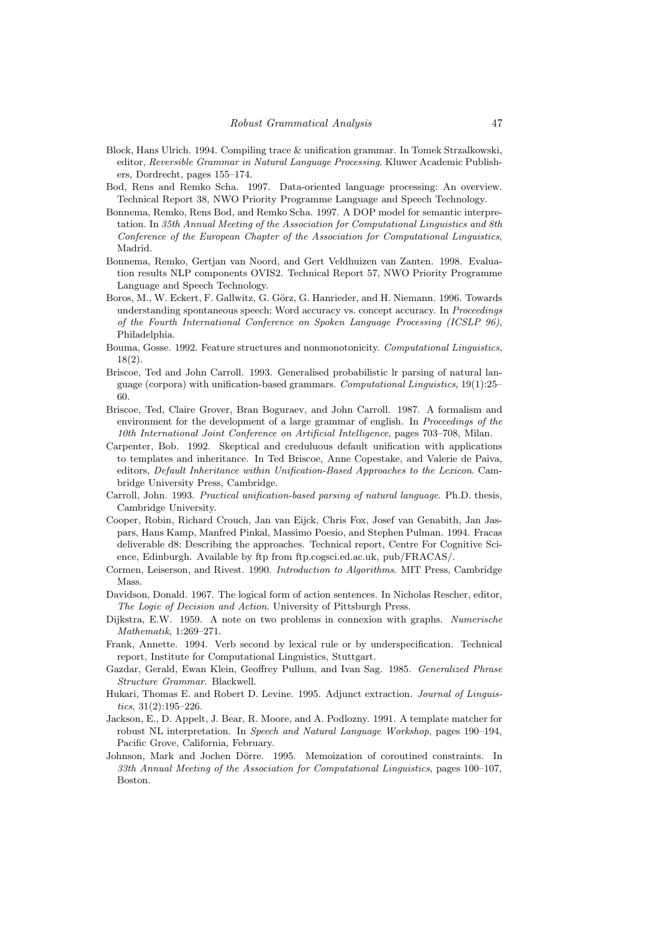- Block, Hans Ulrich. 1994. Compiling trace & unification grammar. In Tomek Strzalkowski, editor, Reversible Grammar in Natural Language Processing. Kluwer Academic Publishers, Dordrecht, pages 155–174.
- Bod, Rens and Remko Scha. 1997. Data-oriented language processing: An overview. Technical Report 38, NWO Priority Programme Language and Speech Technology.
- Bonnema, Remko, Rens Bod, and Remko Scha. 1997. A DOP model for semantic interpretation. In 35th Annual Meeting of the Association for Computational Linguistics and 8th Conference of the European Chapter of the Association for Computational Linguistics, Madrid.
- Bonnema, Remko, Gertjan van Noord, and Gert Veldhuizen van Zanten. 1998. Evaluation results NLP components OVIS2. Technical Report 57, NWO Priority Programme Language and Speech Technology.
- Boros, M., W. Eckert, F. Gallwitz, G. Görz, G. Hanrieder, and H. Niemann. 1996. Towards understanding spontaneous speech: Word accuracy vs. concept accuracy. In Proceedings of the Fourth International Conference on Spoken Language Processing (ICSLP 96), Philadelphia.
- Bouma, Gosse. 1992. Feature structures and nonmonotonicity. Computational Linguistics, 18(2).
- Briscoe, Ted and John Carroll. 1993. Generalised probabilistic lr parsing of natural language (corpora) with unification-based grammars. Computational Linguistics,  $19(1):25-$ 60.
- Briscoe, Ted, Claire Grover, Bran Boguraev, and John Carroll. 1987. A formalism and environment for the development of a large grammar of english. In Proceedings of the 10th International Joint Conference on Artificial Intelligence, pages 703–708, Milan.
- Carpenter, Bob. 1992. Skeptical and creduluous default unification with applications to templates and inheritance. In Ted Briscoe, Anne Copestake, and Valerie de Paiva, editors, Default Inheritance within Unification-Based Approaches to the Lexicon. Cambridge University Press, Cambridge.
- Carroll, John. 1993. Practical unification-based parsing of natural language. Ph.D. thesis, Cambridge University.
- Cooper, Robin, Richard Crouch, Jan van Eijck, Chris Fox, Josef van Genabith, Jan Jaspars, Hans Kamp, Manfred Pinkal, Massimo Poesio, and Stephen Pulman. 1994. Fracas deliverable d8: Describing the approaches. Technical report, Centre For Cognitive Science, Edinburgh. Available by ftp from ftp.cogsci.ed.ac.uk, pub/FRACAS/.
- Cormen, Leiserson, and Rivest. 1990. Introduction to Algorithms. MIT Press, Cambridge Mass.
- Davidson, Donald. 1967. The logical form of action sentences. In Nicholas Rescher, editor, The Logic of Decision and Action. University of Pittsburgh Press.
- Dijkstra, E.W. 1959. A note on two problems in connexion with graphs. Numerische Mathematik, 1:269–271.
- Frank, Annette. 1994. Verb second by lexical rule or by underspecification. Technical report, Institute for Computational Linguistics, Stuttgart.
- Gazdar, Gerald, Ewan Klein, Geoffrey Pullum, and Ivan Sag. 1985. Generalized Phrase Structure Grammar. Blackwell.
- Hukari, Thomas E. and Robert D. Levine. 1995. Adjunct extraction. Journal of Linguistics, 31(2):195–226.
- Jackson, E., D. Appelt, J. Bear, R. Moore, and A. Podlozny. 1991. A template matcher for robust NL interpretation. In Speech and Natural Language Workshop, pages 190–194, Pacific Grove, California, February.
- Johnson, Mark and Jochen Dörre. 1995. Memoization of coroutined constraints. In 33th Annual Meeting of the Association for Computational Linguistics, pages 100–107, Boston.